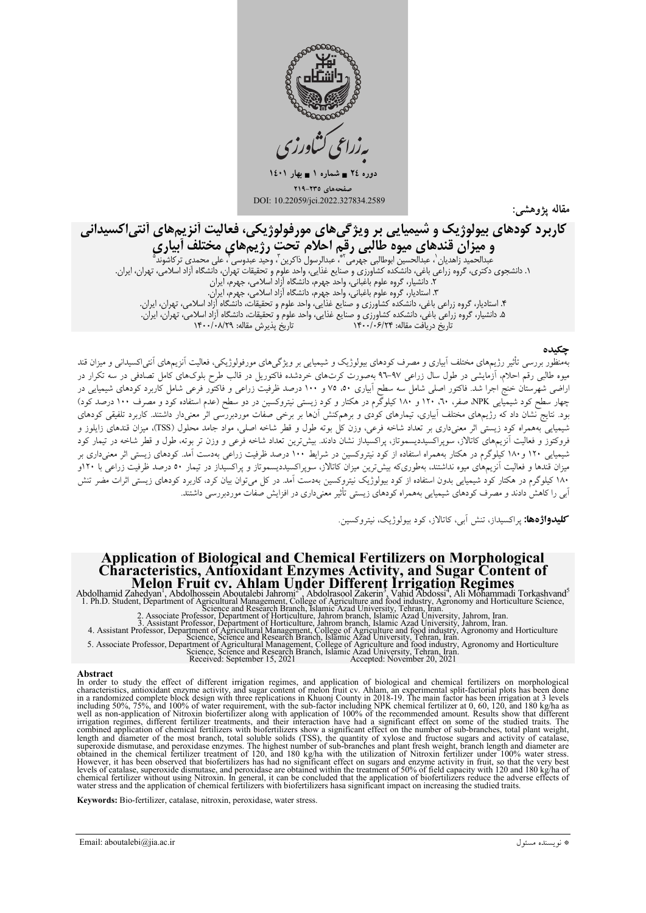

دوره ٢٤ = شماره ١ = بهار ١٤٠١ غحەهای ٢٣٥-٢١٩ DOI: 10.22059/jci.2022.327834.2589

مقاله يژوهشي:

# کاربرد کودهای بیولوژیک و شیمیایی بر ویژگیهای مورفولوژیکی، فعالیت آنزیمهای آنتی|کسیدانی

**كوتالت فى بيوتولوريات و تعليمية يرى بور ويور حي تحاي تعور كوتولورياتي، حت بيت الريبم تحاي السيء العلمي المتحد**<br>**و هيزان قندهاى ميوه طالبى رقيم احلام تحت رژيم هاي مختلف أبيارى**<br>مدالحميد زاهديان<sup>'</sup>، عبدالحسين ابوطالبى جهرم

### حكىدە

بهمنظور بررسی تأثیر رژیمهای مختلف آبیاری و مصرف کودهای بیولوژیک و شیمیایی بر ویژگیهای مورفولوژیکی، فعالیت آنزیمهای آنتی|کسیدانی و میزان قند به سور بزر می سیر رزیم می مستقی بیری رئیسر سرت سورویزیت رئیسیتی بر ریز می می مورمورویزی می مسیح است می سیسی ر<br>میوه طالبی رقم احلام، آزمایشی در طول سال زراعی ۹۷–۹۲ بهصورت کرت0ای خردشده فاکتوریل در قالب طرح بلوک0ای کامل تصا بود. نتایج نشان داد که رژیمهای مختلف آبیاری، تیمارهای کودی و برهمکنش آنها بر برخی صفات موردبررسی اثر معنیدار داشتند. کاربرد تلفیقی کودهای شیمیایی بههمراه کود زیستی اثر معنیداری بر تعداد شاخه فرعی، وزن کل بوته طول و قطر شاخه اصلی، مواد جامد محلول (TSS)، میزان قندهای زایلوز و فروکتوز و فعالیت آنزیمهای کاتالاز، سوپراکسیددیسموتاز، پراکسیداز نشان دادند. بیشترین تعداد شاخه فرعی و وزن تر بوته، طول و قطر شاخه در تیمار کود شیمیایی ۱۲۰ و ۱۸۰ کیلوگرم در هکتار بههمراه استفاده از کود نیتروکسین در شرایط ۱۰۰ درصد ظرفیت زراعی بهدست آمد. کودهای زیستی اثر معنیداری بر میزان قندها و فعالیت آنزیمهای میوه نداشتند، بهطوریکه بیش ترین میزان کاتالاز، سوپراکسیددیسموتاز و پراکسیداز در تیمار ٥٠ درصد ظرفیت زراعی با ١٢٠و آبی را کاهش دادند و مصرف کودهای شیمیایی بههمراه کودهای زیستی تأثیر معنیداری در افزایش صفات موردبررسی داشتند.

**کلیدواژهها:** پراکسیداز، تنش آبی، کاتالاز، کو د بیولوژیک، نیتروکسین.

# **Application of Biological and Chemical Fertilizers on Morphological<br>
Characteristics, Antioxidant Enzymes Activity, and Sugar Content of<br>
Melon Fruit cv. Ahlam Under Different Irrigation Regimes<br>
Abdolhamid Zahedyan, Abdo**

Abstract<br>In order to study the effect of different irrigation regimes, and application of biological and chemical fertilizers on morphological m over to state entropy and entropy and sugar content of melon fruit ev. Ahlam, an experimental split-factorial plots has been done<br>in a randomized complete block design with three replications in Khuonj County in 2018-19 well as non-application of Nitroxin biofertilizer along with application of 100% of the recommended amount. Results show that different<br>irrigation regimes, different fertilizer treatments, and their interaction have had a length and diameter of the most branch, total solube solids (TSS), the quantity of xylose and fructose sugars and activity of catalase, superoxide dismutase, and peroxidase enzymes. The highest number of sub-branches and p blowever, it has been observed that biofertilizers has had no significant effect on sugars and enzyme activity in fruit, so that the very best levels of catalase, superoxide dismutase, and peroxidase are obtained within th

Keywords: Bio-fertilizer, catalase, nitroxin, peroxidase, water stress.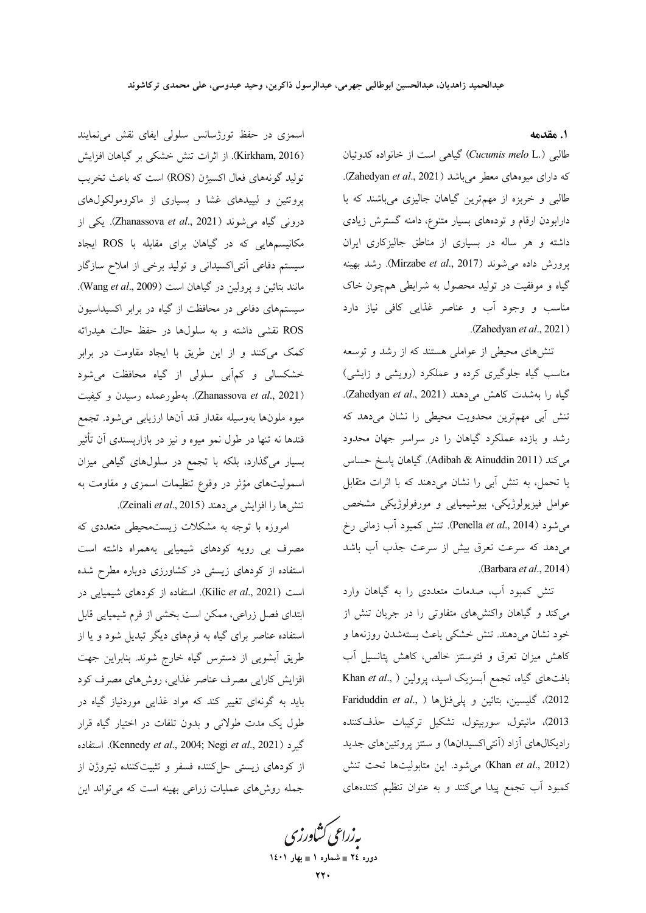### ١. مقدمه

طالبی (.Cucumis melo L) گیاهی است از خانواده کدوئیان كه داراي ميوههاي معطر مي باشد (Zahedyan et al., 2021). طالبی و خربزه از مهمترین گیاهان جالیزی میباشند که با دارابودن ارقام و تودههای بسیار متنوع، دامنه گسترش زیادی داشته و هر ساله در بسیاری از مناطق جالیزکاری ایران پرورش داده میشوند (Mirzabe et al., 2017). رشد بهینه گیاه و موفقیت در تولید محصول به شرایطی همچون خاک مناسب و وجود آب و عناصر غذایی کافی نیاز دارد .(Zahedyan et al., 2021)

تنشهای محیطی از عواملی هستند که از رشد و توسعه مناسب گیاه جلوگیری کرده و عملکرد (رویشی و زایشی) گیاه را بهشدت کاهش می دهند (Zahedyan et al., 2021). تنش آبی مهمترین محدویت محیطی را نشان میدهد که رشد و بازده عملکرد گیاهان را در سراسر جهان محدود می کند (Adibah & Ainuddin 2011). گیاهان پاسخ حساس یا تحمل، به تنش آبی را نشان میدهند که با اثرات متقابل عوامل فیزیولوژیکی، بیوشیمیایی و مورفولوژیکی مشخص میشود (Penella *et al.*, 2014). تنش کمبود آب زمانی رخ میدهد که سرعت تعرق بیش از سرعت جذب آب باشد (Barbara et al., 2014).

تنش کمبود آب، صدمات متعددی را به گیاهان وارد می کند و گیاهان واکنشهای متفاوتی را در جریان تنش از خود نشان مىدهند. تنش خشكى باعث بستهشدن روزنهها و كاهش ميزان تعرق و فتوسنتز خالص، كاهش پتانسيل آب بافتهای گیاه، تجمع آبسزیک اسید، پرولین ( ,Khan et al 2012)، گلیسین، بتائین و پلیفنلها ( ,Fariduddin et al 2013)، مانيتول، سوربيتول، تشكيل تركيبات حذفكننده رادیکالهای آزاد (آنتی اکسیدانها) و سنتز پروتئینهای جدید (Khan et al., 2012) می شود. این متابولیتها تحت تنش کمبود اّب تجمع پیدا میکنند و به عنوان تنظیم کنندههای

یه زراعی کشاورزی دوره ٢٤ = شماره ١ = بهار ١٤٠١

اسمزی در حفظ تورژسانس سلولی ایفای نقش می نمایند (Kirkham, 2016). از اثرات تنش خشکی بر گیاهان افزایش توليد گونههاي فعال اكسيژن (ROS) است كه باعث تخريب پروتئین و لیپیدهای غشا و بسیاری از ماکرومولکولهای درونی گیاه می شوند (Zhanassova et al., 2021). یکی از مکانیسمهایی که در گیاهان برای مقابله با ROS ایجاد سیستم دفاعی آنتی|کسیدانی و تولید برخی از املاح سازگار مانند بتائين و پرولين در گياهان است (Wang et al., 2009). سیستمهای دفاعی در محافظت از گیاه در برابر اکسیداسیون ROS نقشی داشته و به سلولها در حفظ حالت هیدراته کمک میکنند و از این طریق با ایجاد مقاومت در برابر .<br>خشکسالي و کمآبي سلولي از گياه محافظت مي.شود (Zhanassova et al., 2021). بهطورعمده رسيدن و كيفيت میوه ملونها بهوسیله مقدار قند آنها ارزیابی میشود. تجمع قندها نه تنها در طول نمو میوه و نیز در بازارپسندی آن تأثیر بسیار میگذارد، بلکه با تجمع در سلولهای گیاهی میزان اسمولیتهای مؤثر در وقوع تنظیمات اسمزی و مقاومت به تنشها را افزايش مىدهند (Zeinali et al., 2015).

امروزه با توجه به مشکلات زیستمحیطی متعددی که مصرف بی رویه کودهای شیمیایی بههمراه داشته است استفاده از کودهای زیستی در کشاورزی دوباره مطرح شده است (Kilic et al., 2021). استفاده از کودهای شیمیایی در ابتدای فصل زراعی، ممکن است بخشی از فرم شیمیایی قابل استفاده عناصر برای گیاه به فرمهای دیگر تبدیل شود و یا از طریق آبشویی از دسترس گیاه خارج شوند. بنابراین جهت افزایش کارایی مصرف عناصر غذایی، روش۵ای مصرف کود باید به گونهای تغییر کند که مواد غذایی موردنیاز گیاه در طول یک مدت طولانی و بدون تلفات در اختیار گیاه قرار گیرد (Kennedy et al., 2004; Negi et al., 2021). استفاده از کودهای زیستی حل کننده فسفر و تثبیتکننده نیتروژن از جمله روشهای عملیات زراعی بهینه است که می تواند این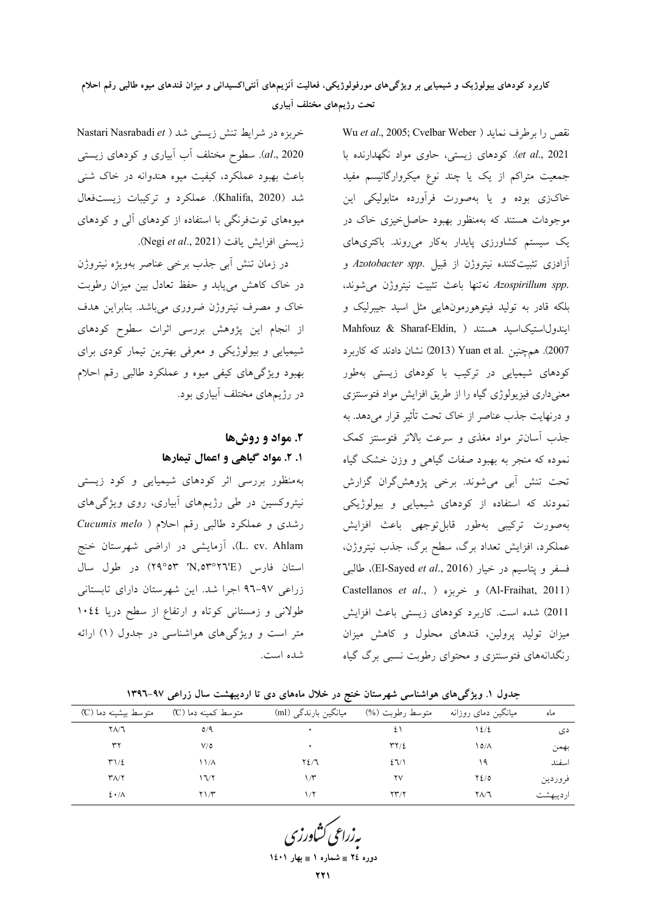## کاربرد کودهای بیولوژیک و شیمیایی بر ویژگیهای مورفولوژیکی، فعالیت آنزیمهای آنتی|کسیدانی و میزان قندهای میوه طالبی رقم احلام تحت رژیمهای مختلف آبیاری

خربزه در شرايط تنش زيستي شد ( Nastari Nasrabadi et al., 2020). سطوح مختلف أب أبياري و كودهاي زيستي باعث بهبود عملکرد، کیفیت میوه هندوانه در خاک شنبی شد (Khalifa, 2020). عملکرد و ترکیبات زیستفعال میوههای توتفرنگی با استفاده از کودهای آلی و کودهای زيستي افزايش يافت (Negi et al., 2021).

در زمان تنش أبي جذب برخي عناصر بهويژه نيتروژن در خاک کاهش می یابد و حفظ تعادل بین میزان رطوبت خاک و مصرف نیتروژن ضروری میباشد. بنابراین هدف از انجام این پژوهش بررسی اثرات سطوح کودهای شیمیایی و بیولوژیکی و معرفی بهترین تیمار کودی برای بهبود ویژگیهای کیفی میوه و عملکرد طالبی رقم احلام در رژیمهای مختلف آبیاری بود.

## ۲. مواد و روشها ۱. ۲. مواد گیاهی و اعمال تیمارها

بهمنظور بررسی اثر کودهای شیمیایی و کود زیستی نیتروکسین در طی رژیمهای ابیاری، روی ویژگیهای رشدی و عملکرد طالبی رقم احلام ( Cucumis melo L. cv. Ahlam)، آزمایشی در اراضی شهرستان خنج استان فارس (N, 0۳°۲٦'E) در طول سال زراعی ۹۷-۹۲ اجرا شد. این شهرستان دارای تابستانی طولانی و زمستانی کوتاه و ارتفاع از سطح دریا ۱۰٤٤ متر است و ویژگیهای هواشناسی در جدول (۱) ارائه شده است.

Wu et al., 2005; Cvelbar Weber ) نقص را برطرف نمايد et al., 2021). كودهاى زيستى، حاوى مواد نگهدارنده با جمعیت متراکم از یک یا چند نوع میکروارگانیسم مفید خاکزی بوده و یا بهصورت فرآورده متابولیکی این موجودات هستند که بهمنظور بهبود حاصل خیزی خاک در یک سیستم کشاورزی پایدار بهکار می روند. باکتریهای آزادزی تثبیتکننده نیتروژن از قبیل .Azotobacter spp و .Azospirillum spp نهتنها باعث تثبيت نيتروژن مى شوند، بلکه قادر به تولید فیتوهورمونهایی مثل اسید جیبرلیک و Mahfouz & Sharaf-Eldin, ) ايندول استيك اسيد هستند 2007). همچنین Yuan et al. (2013) نشان دادند که کاربرد کودهای شیمیایی در ترکیب با کودهای زیستی بهطور معنیداری فیزیولوژی گیاه را از طریق افزایش مواد فتوسنتزی و درنهایت جذب عناصر از خاک تحت تأثیر قرار میدهد. به جذب آسانتر مواد مغذی و سرعت بالاتر فتوستنز کمک .<br>نموده که منجر به بهبود صفات گیاهی و وزن خشک گیاه تحت تنش أبي مي شوند. برخي پژوهش گران گزارش نمودند که استفاده از کودهای شیمیایی و بیولوژیکی بهصورت تركيبي بهطور قابلتوجهي باعث افزايش عملکرد، افزایش تعداد برگ، سطح برگ، جذب نیتروژن، فسفر و يتاسيم در خيار (El-Sayed et al., 2016)، طالبي Castellanos et al., ) و خربزه ( .Al-Fraihat, 2011) 2011) شده است. كاربرد كودهاي زيستي باعث افزايش میزان تولید پرولین، قندهای محلول و کاهش میزان رنگدانههای فتوسنتزی و محتوای رطوبت نسبی برگ گیاه

| جدول ۱. ویژگیهای هواشناسی شهرستان خنج در خلال ماههای دی تا اردیبهشت سال زراعی ۹۷–۱۳۹۲ |  |  |  |  |  |
|---------------------------------------------------------------------------------------|--|--|--|--|--|
|---------------------------------------------------------------------------------------|--|--|--|--|--|

| ماه      | میانگین دمای روزانه | متوسط رطوبت (%)                | میانگین بارندگی (ml) | متوسط کمینه دما (°C) | متوسط بیشینه دما (C)       |
|----------|---------------------|--------------------------------|----------------------|----------------------|----------------------------|
| دی       | 1٤/٤                | ٤١                             |                      | $\Omega/\mathcal{A}$ | $Y\Lambda/T$               |
| بهمن     | ۱۵/۸                | $\Upsilon\Upsilon/\Sigma$      |                      | $V/\mathsf{O}$       | ٣٢                         |
| اسفند    | ۱۹                  | 27/1                           | $Y\S$                | ۱۱/۸                 | $T1/\epsilon$              |
| فروردين  | $Y_{2/0}$           | ۲V                             | ۱۳                   | ۱٦/٢                 | $\Upsilon\Lambda/\Upsilon$ |
| ارديبهشت | ۲۸/٦                | $\Upsilon \Upsilon / \Upsilon$ | ۱۱۲                  | ۱/۳                  | $2 \cdot \Lambda$          |

دوره ٢٤ = شماره ١ = بهار ١٤٠١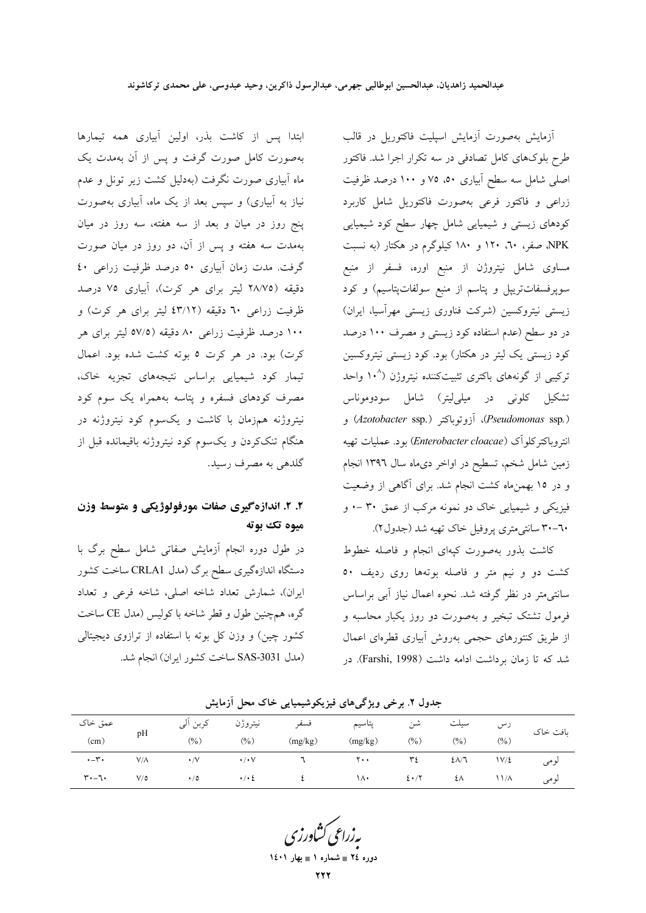ابتدا پس از کاشت بذر، اولین آبیاری همه تیمارها

بهصورت کامل صورت گرفت و پس از آن بهمدت یک

ماه آبیاری صورت نگرفت (بهدلیل کشت زیر تونل و عدم

نیاز به آبیاری) و سپس بعد از یک ماه، آبیاری بهصورت

پنج روز در میان و بعد از سه هفته، سه روز در میان

بهمدت سه هفته و پس از آن، دو روز در میان صورت گرفت. مدت زمان آبیاری ٥٠ درصد ظرفیت زراعی ٤٠

دقيقه (٢٨/٧٥ ليتر براي هر كرت)، آبياري ٧٥ درصد ظرفیت زراعی ٦٠ دقیقه (٤٣/١٢ لیتر برای هر کرت) و

۱۰۰ درصد ظرفیت زراعی ۸۰ دقیقه (۵۷/۵ لیتر برای هر کرت) بود. در هر کرت ٥ بوته کشت شده بود. اعمال

تیمار کود شیمیایی براساس نتیجههای تجزیه خاک،

.<br>مصرف کودهای فسفره و پتاسه بههمراه یک سوم کود

نیتروژنه همزمان با کاشت و یکسوم کود نیتروژنه در

هنگام تنککردن و یکسوم کود نیتروژنه باقیمانده قبل از

۲. ۲. اندازهگیری صفات مورفولوژیکی و متوسط وزن

در طول دوره انجام آزمایش صفاتی شامل سطح برگ با

دستگاه اندازهگیری سطح برگ (مدل CRLA1 ساخت کشور

ایران)، شمارش تعداد شاخه اصلی، شاخه فرعی و تعداد

گره، همچنین طول و قطر شاخه با کولیس (مدل CE ساخت

کشور چین) و وزن کل بوته با استفاده از ترازوی دیجیتالی

(مدل SAS-3031 ساخت كشور ايران) انجام شد.

گلدهي به مصرف رسيد.

ميوه تک بوته

آزمایش بهصورت آزمایش اسپلیت فاکتوریل در قالب طرح بلوکهای کامل تصادفی در سه تکرار اجرا شد. فاکتور اصلی شامل سه سطح آبیاری ۵۰، ۷۵ و ۱۰۰ درصد ظرفیت زراعی و فاکتور فرعی بهصورت فاکتوریل شامل کاربرد کودهای زیستی و شیمیایی شامل چهار سطح کود شیمیایی NPK صفر، ٦٠، ١٢٠ و ١٨٠ كيلوگرم در هكتار (به نسبت مساوی شامل نیتروژن از منبع اوره، فسفر از منبع سوپرفسفاتتریپل و پتاسم از منبع سولفاتپتاسیم) و کود زیستی نیتروکسین (شرکت فناوری زیستی مهرآسیا، ایران) در دو سطح (عدم استفاده کود زیستی و مصرف ۱۰۰ درصد کود زیستی یک لیتر در هکتار) بود. کود زیستی نیتروکسین ترکیبی از گونههای باکتری تثبیتکننده نیتروژن (°۱۰ واحد ۔<br>تشکیل کلونی در میل<sub>ی</sub>لیتر) شامل سودوموناس (Pseudomonas ssp.)، أزوتوباكتر (Azotobacter ssp.) و انتروباكتركلوآك (Enterobacter cloacae) بود. عمليات تهيه زمین شامل شخم، تسطیح در اواخر دیماه سال ۱۳۹٦ انجام و در ۱۵ بهمنِماه کشت انجام شد. برای آگاهی از وضعیت فیزیکی و شیمیایی خاک دو نمونه مرکب از عمق ۳۰ –۰ و ٦٠-٣٠ سانتي مترى يروفيل خاك تهيه شد (جدول٢).

کاشت بذور بهصورت کیهای انجام و فاصله خطوط کشت دو و نیم متر و فاصله بوتهها روی ردیف ٥٠ سانتی متر در نظر گرفته شد. نحوه اعمال نیاز آبی براساس فرمول تشتک تبخیر و بهصورت دو روز یکبار محاسبه و از طریق کنتورهای حجمی بهروش آبیاری قطرهای اعمال شد که تا زمان برداشت ادامه داشت (Farshi, 1998). در

عمق خاک کربن آلی نيتروژن فسفو يتاسيم شن سيلت رس بافت خاک pH  $(9/6)$  $(%)$  $(%)$  $(%)$  $(mg/kg)$  $(mg/kg)$  $(9/0)$  $(cm)$  $, -r.$  $V/\Lambda$  $\cdot$  /V  $\cdot/\cdot\vee$  $\mathcal{L}$  $\mathbf{y}$ .  $\mathbf{r}$  $2\Lambda/7$  $1V/\xi$ لومى  $\mathbf{r} \cdot -\mathbf{r} \cdot$  $\cdot$  /  $\cdot$  {  $\mathfrak t$  $V/\delta$  $\cdot/0$  $\lambda$  $2 \cdot 7$ ٤٨  $11/\Lambda$ لومى

جدول ۲. برخی ویژگیهای فیزیکوشیمیایی خاک محل آزمایش

دوره ٢٤ = شماره ١ = بهار ١٤٠١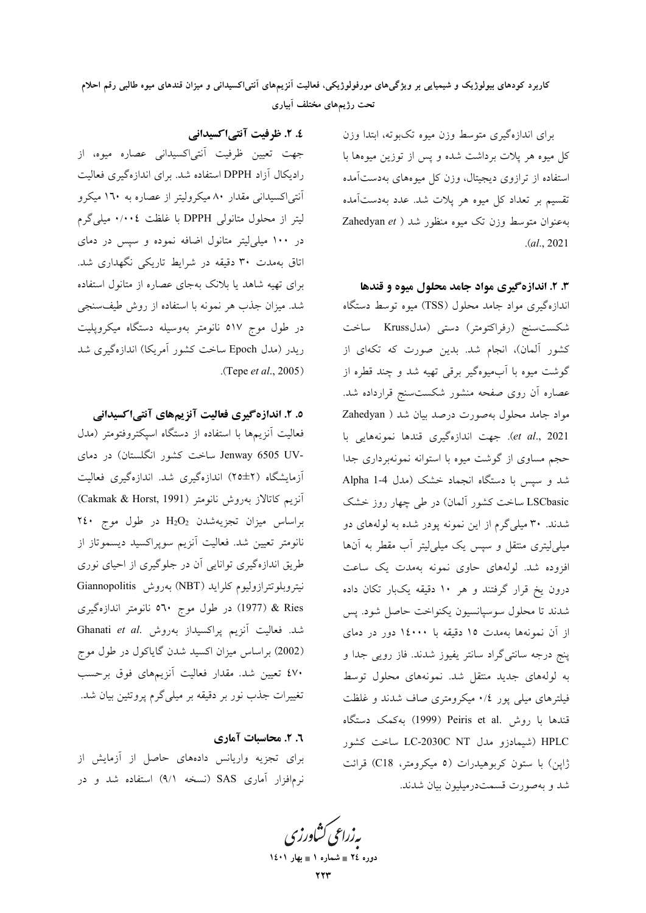کاربرد کودهای بیولوژیک و شیمیایی بر ویژگیهای مورفولوژیکی، فعالیت انزیمهای انتیlکسیدانی و میزان قندهای میوه طالبی رقم احلام تحت رژیمهای مختلف آبیاری

> برای اندازهگیری متوسط وزن میوه تکبوته، ابتدا وزن کل میوه هر پلات برداشت شده و پس از توزین میوهها با ستفاده از ترازوی دیجیتال، وزن کل میوههای بهدستآمده تقسیم بر تعداد کل میوه هر پلات شد. عدد بهدستآمده به عنوان متوسط وزن تک میوه منظور شد ( Zahedyan et .( *al*., 2021

**۳. ۲. اندازهگیری مواد جامد محلول میوه و قندها** 

ندازهگیری مواد جامد محلول (TSS) میوه توسط دستگاه شکستسنج (رفراکتومتر) دستی (مدلKruss ساخت کشور آلمان)، انجام شد. بدین صورت که تکهای از گوشت میوه با آبمیوهگیر برقی تهیه شد و چند قطره از عصاره أن روى صفحه منشور شكستسنج قرارداده شد. مواد جامد محلول بهصورت درصد بیان شد ( Zahedyan et al., 2021). جهت اندازهگیری قندها نمونههایی با حجم مساوي از گوشت ميوه با استوانه نمونهبرداري جدا شد و سپس با دستگاه انجماد خشک (مدل 4-1 Alpha LSCbasic ساخت کشور آلمان) در طی چهار روز خشک شدند. ۳۰ میلیگرم از این نمونه پودر شده به لولههای دو میلی[یتری منتقل و سپس یک میلی[یتر آب مقطر به آنها فزوده شد. لولههای حاوی نمونه بهمدت یک ساعت درون یخ قرار گرفتند و هر ۱۰ دقیقه یکبار تکان داده ثىدند تا محلول سوسپانسيون يكنواخت حاصل شود. پس از آن نمونهها بهمدت ١٥ دقیقه با ١٤٠٠٠ دور در دمای پنج درجه سانتیگراد سانتر یفیوز شدند. فاز رویی جدا و به لولههای جدید منتقل شد. نمونههای محلول توسط فیلترهای میلی پور ۰/٤ میکرومتری صاف شدند و غلظت قندها با روش .Peiris et al (1999) به كمك دستگاه HPLC (شیمادزو مدل IC-2030C NT ساخت کشور ژاپن) با ستون کربوهیدرات (٥ میکرومتر، C18) قرائت شد و بهصورت قسمتدرمیلیون بیان شدند.

**£. ۲. ظرفیت آنتی|کسیدانی** جهت تعیین ظرفیت آنتیاکسیدانی عصاره میوه، از رادیکال آزاد DPPH استفاده شد. برای اندازهگیری فعالیت آنتی اکسیدانی مقدار ۸۰ میکرولیتر از عصاره به ۱٦۰ میکرو لیتر از محلول متانولی DPPH با غلظت ۰/۰۰٤ میلیگرم در ۱۰۰ میلی لیتر متانول اضافه نموده و سپس در دمای اتاق بهمدت ۳۰ دقیقه در شرایط تاریکی نگهداری شد. برای تهیه شاهد یا بلانک بهجای عصاره از متانول استفاده شد. میزان جذب هر نمونه با استفاده از روش طیفسنجی در طول موج ٥١٧ نانومتر بەوسیلە دستگاه میکروپلیت ریدر (مدل Epoch ساخت کشور آمریکا) اندازهگیری شد .(Tepe *et al*., 2005)

**0. ۲. اندازهگیری فعالیت آنزیمهای آنتیاکسیدانی** فعالیت أنزیمهما با استفاده از دستگاه اسپکتروفتومتر (مدل -Jenway 6505 UV ساخت کشور انگلستان) در دمای أزمايشگاه (٢±٢٥) اندازهگيري شد. اندازهگيري فعاليت أنزيم كاتالاز بەروش نانومتر (Cakmak & Horst, 1991) براساس میزان تجزیهشدن  $\mathrm{H_{2}O_{2}}$  در طول موج ۲٤۰ نانومتر تعیین شد. فعالیت أنزیم سوپراکسید دیسموتاز از طریق اندازهگیری توانایی أن در جلوگیری از احیای نوری نیتروبلوتترازولیوم کلراید (NBT) بهروش Giannopolitis

ه (1977) در طول موج °٥٦٠ نانومتر اندازهگیری شد. فعالیت آنزیم پراکسیداز بهروش .Ghanati *et al* (2002) براساس میزان اکسید شدن گایاکول در طول موج ٤٧٠ تعيين شد. مقدار فعاليت أنزيمهاى فوق برحسب تغییرات جذب نور بر دقیقه بر میلی گرم پروتئین بیان شد.

**٦. ٢. محاسبات آماري** برای تجزیه واریانس دادههای حاصل از آزمایش از نرمافزار آماری SAS (نسخه ۹/۱) استفاده شد و در

 **1401  1 - 24 -**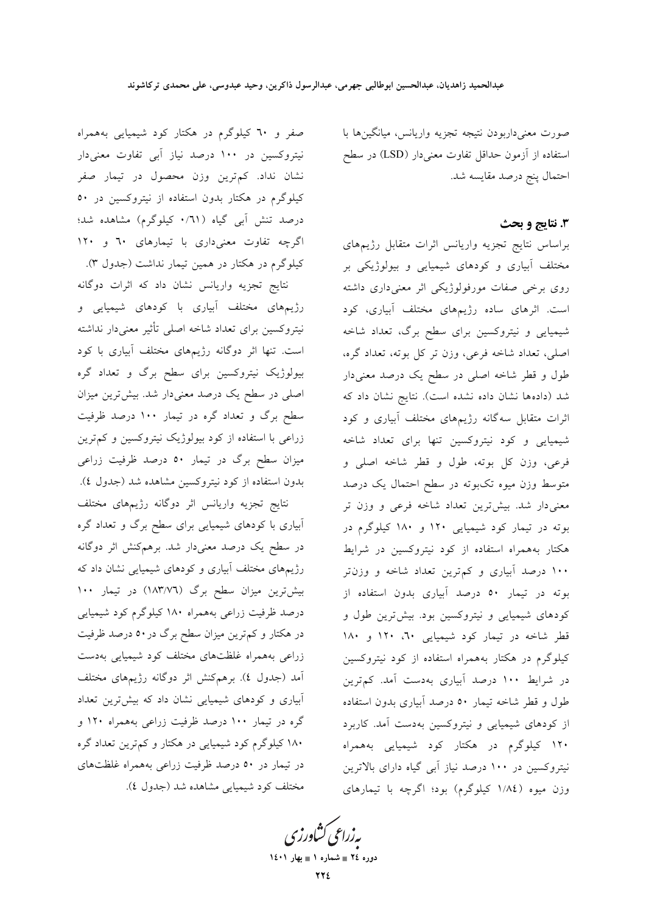صورت معنىداربودن نتيجه تجزيه واريانس، ميانگينها با استفاده از آزمون حداقل تفاوت معنیدار (LSD) در سطح احتمال پنج درصد مقايسه شد.

### 3. نتايج و بحث

براساس نتايج تجزيه واريانس اثرات متقابل رژيمهاى مختلف آبیاری و کودهای شیمیایی و بیولوژیکی بر روی برخی صفات مورفولوژیکی اثر معنیداری داشته است. اثرهای ساده رژیمهای مختلف آبیاری، کود شیمیایی و نیتروکسین برای سطح برگ، تعداد شاخه اصلی، تعداد شاخه فرعی، وزن تر کل بوته، تعداد گره، طول و قطر شاخه اصلی در سطح یک درصد معنیدار شد (دادهها نشان داده نشده است). نتایج نشان داد که اثرات متقابل سهگانه رژیمهای مختلف آبیاری و کود شیمیایی و کود نیتروکسین تنها برای تعداد شاخه فرعي، وزن كل بوته، طول و قطر شاخه اصلى و متوسط وزن میوه تکبوته در سطح احتمال یک درصد معنیدار شد. بیشتررین تعداد شاخه فرعی و وزن تر بوته در تیمار کود شیمیایی ۱۲۰ و ۱۸۰ کیلوگرم در هکتار بههمراه استفاده از کود نیتروکسین در شرایط ۱۰۰ درصد آبیاری و کم ترین تعداد شاخه و وزن تر بوته در تیمار ۵۰ درصد آبیاری بدون استفاده از کودهای شیمیایی و نیتروکسین بود. بیشترین طول و قطر شاخه در تیمار کود شیمیایی ۲۰، ۱۲۰ و ۱۸۰ کیلوگرم در هکتار بههمراه استفاده از کود نیتروکسین در شرایط ۱۰۰ درصد آبیاری بهدست آمد. کمترین طول و قطر شاخه تیمار ۵۰ درصد آبیاری بدون استفاده از کودهای شیمیایی و نیتروکسین بهدست آمد. کاربرد ۱۲۰ کیلوگرم در هکتار کود شیمیایی بههمراه نیتروکسین در ۱۰۰ درصد نیاز آبی گیاه دارای بالاترین وزن میوه (١/٨٤ کیلوگرم) بود؛ اگرچه با تیمارهای

صفر و ٦٠ کیلوگرم در هکتار کود شیمیایی بههمراه نیتروکسین در ۱۰۰ درصد نیاز آبی تفاوت معنیدار نشان نداد. کم,ترین وزن محصول در تیمار صفر کیلوگرم در هکتار بدون استفاده از نیتروکسین در ۵۰ درصد تنش آبی گیاه (٦١/٠ کیلوگرم) مشاهده شد؛ اگرچه تفاوت معنی داری با تیمارهای ٦٠ و ١٢٠ کیلوگرم در هکتار در همین تیمار نداشت (جدول ۳).

نتایج تجزیه واریانس نشان داد که اثرات دوگانه رژیمهای مختلف آبیاری با کودهای شیمیایی و نيتروكسين براي تعداد شاخه اصلى تأثير معنىدار نداشته است. تنها اثر دوگانه رژیمهای مختلف آبیاری با کود بیولوژیک نیتروکسین برای سطح برگ و تعداد گره اصلی در سطح یک درصد معنیدار شد. بیشترین میزان سطح برگ و تعداد گره در تیمار ۱۰۰ درصد ظرفیت زراعی با استفاده از کود بیولوژیک نیتروکسین و کم ترین میزان سطح برگ در تیمار ۵۰ درصد ظرفیت زراعی بدون استفاده از کود نیتروکسین مشاهده شد (جدول ٤).

نتايج تجزيه واريانس اثر دوگانه رژيمهاى مختلف آبیاری با کودهای شیمیایی برای سطح برگ و تعداد گره در سطح یک درصد معنیدار شد. برهمکنش اثر دوگانه رژیمهای مختلف آبیاری و کودهای شیمیایی نشان داد که بیش ترین میزان سطح برگ (١٨٣/٧٦) در تیمار ١٠٠ درصد ظرفیت زراعی بههمراه ۱۸۰ کیلوگرم کود شیمیایی در هکتار و کم ترین میزان سطح برگ در ۵۰ درصد ظرفیت زراعی بههمراه غلظتهای مختلف کود شیمیایی بهدست آمد (جدول ٤). برهم كنش اثر دوگانه رژيمهاى مختلف ابیاری و کودهای شیمیایی نشان داد که بیشترین تعداد گره در تیمار ۱۰۰ درصد ظرفیت زراعی بههمراه ۱۲۰ و ۱۸۰ کیلوگرم کود شیمیایی در هکتار و کم,ترین تعداد گره در تیمار در ۵۰ درصد ظرفیت زراعی بههمراه غلظتهای مختلف كود شيميايي مشاهده شد (جدول ٤).

بەزراعى كشاورز دوره ٢٤ = شماره ١ = بهار ١٤٠١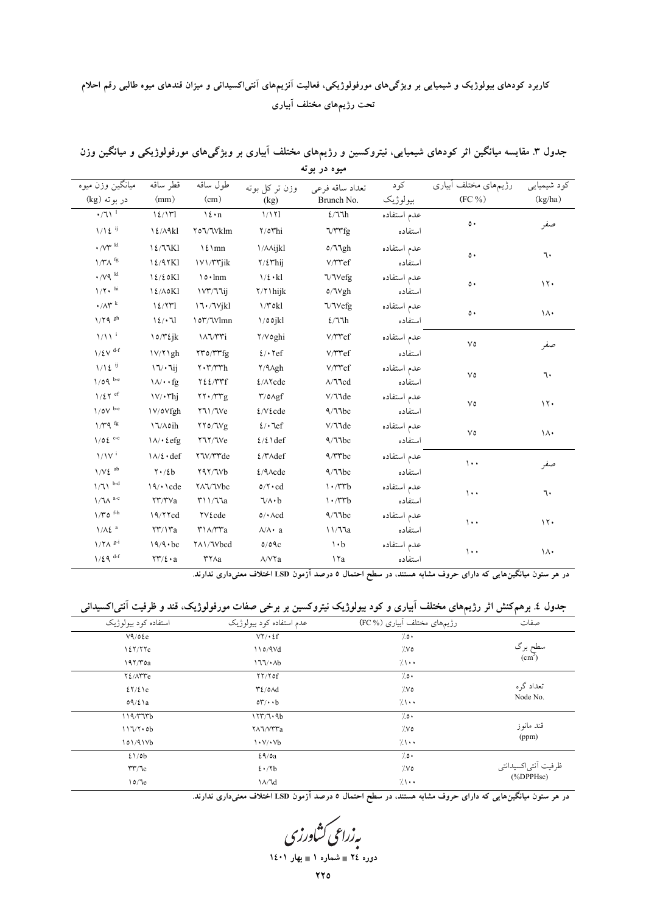# کاربرد کودهای بیولوژیک و شیمیایی بر ویژگیهای مورفولوژیکی، فعالیت آنزیمهای آنتی|کسیدانی و میزان قندهای میوه طالبی رقم احلام تحت رژیمهای مختلف آبیاری

| جدول ۳. مقایسه میانگین اثر کودهای شیمیایی، نیتروکسین و رژیمهای مختلف آبیاری بر ویژگیهای مورفولوژیکی و میانگین وزن |
|-------------------------------------------------------------------------------------------------------------------|
| ميوه در بوته                                                                                                      |

| ميانگين وزن ميوه                                                    | قطر ساقه                             | طول ساقه                                                             | وزن تر کل بوته                                                                                  | تعداد ساقه فرعى                                            | کود         | رژیمهای مختلف آبیاری | كود شيميايي                  |
|---------------------------------------------------------------------|--------------------------------------|----------------------------------------------------------------------|-------------------------------------------------------------------------------------------------|------------------------------------------------------------|-------------|----------------------|------------------------------|
| در بوته (kg)                                                        | (mm)                                 | (cm)                                                                 | (kg)                                                                                            | Brunch No.                                                 | بيولوژيک    | $(FC\%)$             | $\left( \text{kg/ha}\right)$ |
| $\cdot/71$ <sup>1</sup>                                             | $\frac{1}{2}$                        | $\mathcal{N}$ : n                                                    | 1/171                                                                                           | $\mathcal{E}/\mathcal{I}\mathcal{I}h$                      | عدم استفاده | $\circ\cdot$         |                              |
| $1/\sqrt{2}$ ij                                                     | 12/ARl                               | ۲٥٦/٦٧klm                                                            | $\gamma$ or hi                                                                                  | <b>VTTfg</b>                                               | استفاده     |                      | صفر                          |
| $\boldsymbol{\cdot} / \text{V}\boldsymbol{\Upsilon}$ $^{\text{kl}}$ | $\frac{1}{2}$                        | $\frac{\Sigma}{m}$                                                   | <b>\/AAijkl</b>                                                                                 | 0/77gh                                                     | عدم استفاده | $\circ \cdot$        | ٦.                           |
| $1/\Upsilon\Lambda$ fg                                              | 12/97K1                              | <b>IVI/TTjik</b>                                                     | $\frac{7}{2}\pi$ hij                                                                            | V/Tref                                                     | استفاده     |                      |                              |
| $\cdot$ / $\vee$ q $\mathrm{^{kl}}$                                 | 12/20Kl                              | $\ln m$                                                              | $\frac{1}{2}$ $\cdot$ kl                                                                        | <b>VVefg</b>                                               | عدم استفاده | ٥٠                   | 17.                          |
| $1/\Upsilon\star$ hi                                                | $\frac{12}{\Lambda}$ o $K1$          | IVY/JJij                                                             | $\frac{7}{7}$ hijk                                                                              | $\text{o}/\text{Vgh}$                                      | استفاده     |                      |                              |
| $\cdot/\Lambda$ rk                                                  | 12/571                               | 17.7Vjkl                                                             | $1/T$ okl                                                                                       | <b>VVefg</b>                                               | عدم استفاده |                      |                              |
| $1/\Upsilon$ q sh                                                   | 12/11                                | 10Y/Vlmn                                                             | $\frac{1}{2}$ 00jkl                                                                             | 2/77h                                                      | استفاده     | ٥.                   | $\lambda$                    |
| $1/\sqrt{1}$                                                        | $\log\gamma$ tjk                     | $\lambda \lambda \gamma \gamma \gamma$                               | Y/Voghi                                                                                         | V/ ref                                                     | عدم استفاده | $V\circ$             |                              |
| $1/\xi V$ <sup>d-f</sup>                                            | 1V/Y1gh                              | <b>YYO/YYfg</b>                                                      | $2/\cdot$ \cf                                                                                   | V/Tref                                                     | استفاده     |                      | صفر                          |
| $1/\sqrt{2}$ ij                                                     | 17/111                               | $\mathbf{Y} \cdot \mathbf{Y}/\mathbf{Y}$ h                           | Y/ Agh                                                                                          | V/Tref                                                     | عدم استفاده |                      |                              |
| $1/09$ be                                                           | $\lambda/\cdot$ fg                   | YZE/YYf                                                              | ٤/٨٢cde                                                                                         | $\Lambda/\text{Ncd}$                                       | استفاده     | $V\circ$             | ٦.                           |
| $1/\xi \Upsilon$ ef                                                 | $\frac{V}{\cdot \tau h}$             | $\gamma \cdot \gamma \cdot \gamma$                                   | $\mathop{\textsf{t}}\nolimits/\mathop{\textsf{o}}\nolimits\!\mathop{\textsf{A}}\nolimits\! g f$ | V/11de                                                     | عدم استفاده | $\vee \circ$         | 11.                          |
| $1/\mathfrak{d} \mathrm{V}$ b-e                                     | <b>IV/oVfgh</b>                      | <b>YJI/JVe</b>                                                       | $2/V$ cde                                                                                       | 9/77bc                                                     | استفاده     |                      |                              |
| $1/T$ q <sup>fg</sup>                                               | 17/Aoih                              | $\gamma \gamma_0/\gamma v_g$                                         | $\ell/\cdot$ lef                                                                                | V/11de                                                     | عدم استفاده |                      |                              |
| $1/0\xi$ <sup>c-c</sup>                                             | $\lambda/\cdot \text{tefg}$          | <b>YVY/Ve</b>                                                        | $2/2$ \def                                                                                      | 9/77bc                                                     | استفاده     | $\vee \circ$         | ١٨٠                          |
| $1/1V^i$                                                            | $\lambda / \ell \cdot def$           | <b>YV/YYde</b>                                                       | $2/\text{Y}\wedge \text{def}$                                                                   | $4/$ rrbc                                                  | عدم استفاده | $\cdots$             |                              |
| $1/V\ell$ ab                                                        | $\mathbf{Y} \cdot / \mathbf{z}$      | Y4Y/7Vb                                                              | $2/9 \text{A}$ cde                                                                              | 9/77bc                                                     | استفاده     |                      | صفر                          |
| $1/71$ $^{\rm b-d}$                                                 | 19/10                                | <b>YAJ/JVbc</b>                                                      | $\mathfrak{o}/\mathfrak{r}\cdot\mathrm{cd}$                                                     | $\cdot$ /۳۳ $b$                                            | عدم استفاده | $\cdots$             | ٦.                           |
| $\mathcal{N} \backslash \mathcal{N}$ a-c                            | $\tau\tau/\tau$ $\vee$ a             |                                                                      | $\sqrt{\wedge} \cdot b$                                                                         | $\cdot$ / $\uparrow\uparrow$ b                             | استفاده     |                      |                              |
| $1/\Upsilon$ $0^{-\mathrm{f}\text{-}\mathrm{h}}$                    | 19/77cd                              | ۲۷ £cde                                                              | $\circ/\bullet\!\operatorname{\mathsf{Acd}}$                                                    | 9/77bc                                                     | عدم استفاده | $\cdots$             | 11.                          |
| $1/\lambda \xi$ <sup>a</sup>                                        | $\Upsilon\Upsilon/\Upsilon a$        | $\mathsf{r}\right\setminus\wedge\!\!/\mathsf{r}\mathsf{r}\mathsf{a}$ | $\wedge/\wedge \cdot$ a                                                                         | $\backslash\!\!\!\backslash\gamma\!\!\!\backslash\gamma_a$ | استفاده     |                      |                              |
| $1/\Upsilon\Lambda$ <sup>g-i</sup>                                  | $19/9 \cdot bc$                      | YA1/Vbcd                                                             | 0/09c                                                                                           | $\mathbf{A} \cdot \mathbf{b}$                              | عدم استفاده |                      |                              |
| $1/\xi$ q <sup>d-f</sup>                                            | $\upgamma\upgamma/\upepsilon\cdot a$ | $\mathsf{r}\mathsf{r}\wedge\mathsf{a}$                               | $\land$ / $\lor$ a                                                                              | ١٢a                                                        | استفاده     | $\cdots$             | $\lambda$                    |
|                                                                     |                                      |                                                                      |                                                                                                 |                                                            |             |                      |                              |

در هر ستون میانگینهایی که دارای حروف مشابه هستند، در سطح احتمال ۵ درصد آزمون LSD اختلاف معنیداری ندارند.

|  | جدول ٤. برهمکنش اثر رژیمهای مختلف اَبیاری و کود بیولوژیک نیتروکسین بر برخی صفات مورفولوژیک، قند و ظرفیت اَنتیاکسیدانی |
|--|-----------------------------------------------------------------------------------------------------------------------|
|  |                                                                                                                       |

| استفاده کود بیولوژیک              | عدم استفاده کو د بیولوژیک                             | رژیمهای مختلف آبیاری (% FC) | صفات                          |  |
|-----------------------------------|-------------------------------------------------------|-----------------------------|-------------------------------|--|
| V9/02e                            | $V\Upsilon/\cdot 2f$                                  | $7.0 \cdot$                 |                               |  |
| 127/77c                           | 110/9Vd                                               | 7.VO                        | سطح برگ<br>(cm <sup>2</sup> ) |  |
| $197/T$ oa                        | 177/4                                                 | $\sqrt{1}$                  |                               |  |
| Y E/ATTe                          | $YY/Y$ of                                             | $7.0 \cdot$                 |                               |  |
| $27/2$ 1c                         | $\mathsf{r}\mathfrak{c}/\mathfrak{o}\wedge\mathrm{d}$ | 7.VO                        | تعداد گره                     |  |
| $09/\ell$ a                       | $o\mathbf{r}/\cdot\cdot\mathbf{b}$                    | $\sqrt{1}$                  | Node No.                      |  |
| 119/T                             | 1777.9b                                               | $7.0 \cdot$                 |                               |  |
| $117/7 \cdot 0b$                  | YAJ/VYYa                                              | 7.00                        | قند مانوز                     |  |
| 101/91Vb                          | $\langle \cdot \vee \rangle \cdot \vee b$             | 7.1                         | (ppm)                         |  |
| 21/0b                             | 29/aa                                                 | $7.0 \cdot$                 |                               |  |
| $\mathsf{r}\mathsf{r}/\mathsf{r}$ | $2 \cdot \gamma b$                                    | $\sqrt{2}$                  | ظرفيت أنتىاكسيدانتي           |  |
| 10/7e                             | $\lambda/\lambda d$                                   | $/ \cdot$                   | $(^{96}DPPHsc)$               |  |

.<br>- در هر ستون میانگینهایی که دارای حروف مشابه هستند، در سطح احتمال ۵ درصد آزمون LSD اختلاف معنیداری ندارند.

بەزرا<sup>ع</sup>ى كشاورزى ۔<br>دورہ ۲٤ ∎ شمارہ ۱ ∎ بھار ۱٤۰۱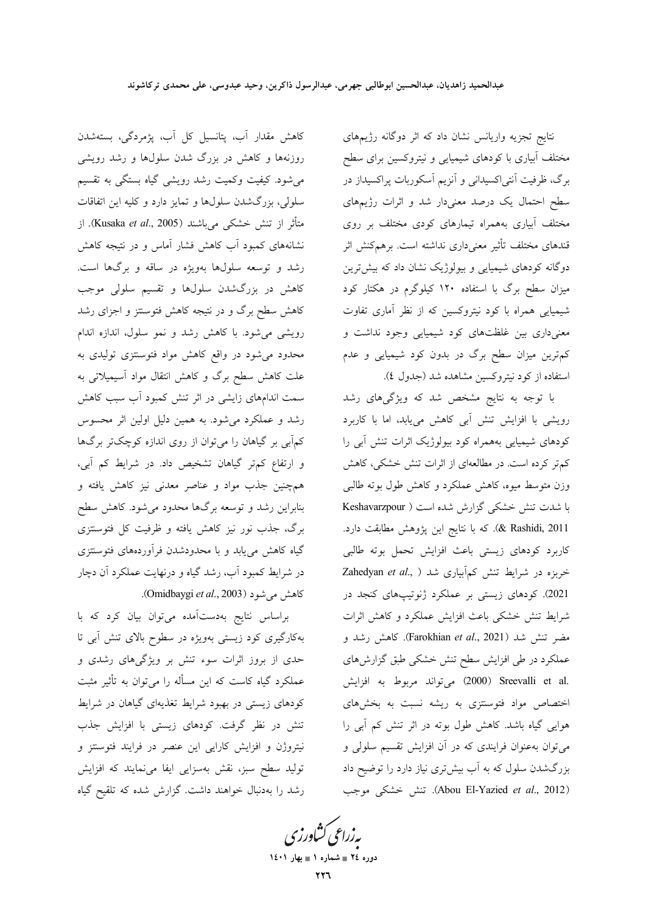نتایج تجزیه واریانس نشان داد که اثر دوگانه رژیمهای مختلف آبیاری با کودهای شیمیایی و نیتروکسین برای سطح برگ، ظرفیت آنتی|کسیدانی و آنزیم آسکوربات پراکسیداز در سطح احتمال یک درصد معنیدار شد و اثرات رژیمهای مختلف آبیاری بههمراه تیمارهای کودی مختلف بر روی قندهای مختلف تأثیر معنیداری نداشته است. برهمکنش اثر دوگانه کودهای شیمیایی و بیولوژیک نشان داد که بیش ترین میزان سطح برگ با استفاده ۱۲۰ کیلوگرم در هکتار کود شیمیایی همراه با کود نیتروکسین که از نظر آماری تفاوت معنیداری بین غلظتهای کود شیمیایی وجود نداشت و کم ترین میزان سطح برگ در بدون کود شیمیایی و عدم استفاده از کود نیتروکسین مشاهده شد (جدول ٤).

با توجه به نتایج مشخص شد که ویژگیهای رشد رویشی با افزایش تنش آبی کاهش می یابد، اما با کاربرد کودهای شیمیایی بههمراه کود بیولوژیک اثرات تنش آبی را کم تر کرده است. در مطالعهای از اثرات تنش خشکی، کاهش وزن متوسط میوه، کاهش عملکرد و کاهش طول بوته طالبی با شدت تنش خشکی گزارش شده است ( Keshavarzpour k Rashidi, 2011). كه با نتايج اين پژوهش مطابقت دارد. كاربرد كودهاى زيستى باعث افزايش تحمل بوته طالبي خربزه در شرايط تنش كمآبيارى شد ( ,Zahedyan et al 2021). کودهای زیستی بر عملکرد ژنوتیپهای کنجد در شرایط تنش خشکی باعث افزایش عملکرد و کاهش اثرات مضر تنش شد (Farokhian et al., 2021). كاهش رشد و عملکرد در طی افزایش سطح تنش خشکی طبق گزارشهای .Sreevalli et al (2000) ميتواند مربوط به افزايش اختصاص مواد فتوسنتزى به ريشه نسبت به بخشهاى هوایی گیاه باشد. کاهش طول بوته در اثر تنش کم آبی را می توان بهعنوان فرایندی که در آن افزایش تقسیم سلولی و بزرگشدن سلول که به آب بیشتری نیاز دارد را توضیح داد (Abou El-Yazied et al., 2012). تنش خشكى موجب

یه زراعی کشاورزی دوره ٢٤ = شماره ١ = بهار ١٤٠١

روزنهها و کاهش در بزرگ شدن سلولها و رشد رویشی میشود. کیفیت وکمیت رشد رویشی گیاه بستگی به تقسیم سلولي، بزرگشدن سلولها و تمايز دارد و كليه اين اتفاقات متأثر از تنش خشكي مي باشند (Kusaka *et al*., 2005). از نشانههای کمبود آب کاهش فشار آماس و در نتیجه کاهش رشد و توسعه سلولها بهویژه در ساقه و برگها است. کاهش در بزرگشدن سلولها و تقسیم سلولی موجب کاهش سطح برگ و در نتیجه کاهش فتوسنتز و اجزای رشد رویشی میشود. با کاهش رشد و نمو سلول، اندازه اندام محدود می شود در واقع کاهش مواد فتوسنتزی تولیدی به علت کاهش سطح برگ و کاهش انتقال مواد آسیمیلاتی به سمت اندامهای زایشی در اثر تنش کمبود آب سبب کاهش رشد و عملکرد میشود. به همین دلیل اولین اثر محسوس کمآبی بر گیاهان را میتوان از روی اندازه کوچکتر برگها و ارتفاع کم تر گیاهان تشخیص داد. در شرایط کم آبی، همچنین جذب مواد و عناصر معدنی نیز کاهش یافته و بنابراین رشد و توسعه برگها محدود میشود. کاهش سطح برگ، جذب نور نیز کاهش یافته و ظرفیت کل فتوستتزی گیاه کاهش می یابد و با محدودشدن فرآوردههای فتوسنتزی در شرایط کمبود آب، رشد گیاه و درنهایت عملکرد آن دچار كاهش مى شود (Omidbaygi et al., 2003).

کاهش مقدار آب، پتانسیل کل آب، پژمردگی، بستهشدن

براساس نتایج بهدستآمده میتوان بیان کرد که با بهکارگیری کود زیستی بهویژه در سطوح بالای تنش آبی تا حدی از بروز اثرات سوء تنش بر ویژگیهای رشدی و عملکرد گیاه کاست که این مسأله را می توان به تأثیر مثبت کودهای زیستی در بهبود شرایط تغذیهای گیاهان در شرایط تنش در نظر گرفت. کودهای زیستی با افزایش جذب نیتروژن و افزایش کارایی این عنصر در فرایند فتوسنتز و تولید سطح سبز، نقش بهسزایی ایفا می نمایند که افزایش رشد را بهدنبال خواهند داشت. گزارش شده که تلقیح گیاه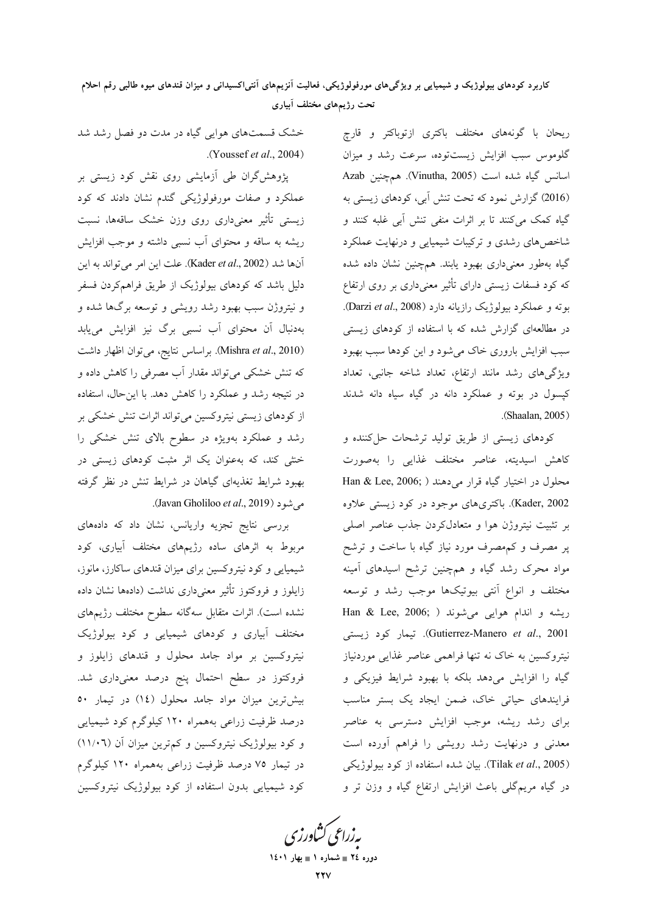ریحان با گونههای مختلف باکتری ازتوباکتر و قارچ گلوموس سبب افزایش زیستتوده، سرعت رشد و میزان اسانس گیاه شده است (Vinutha, 2005). همچنین Azab (2016) گزارش نمود که تحت تنش آبی، کودهای زیستی به گیاه کمک میکنند تا بر اثرات منفی تنش آبی غلبه کنند و شاخصهای رشدی و ترکیبات شیمیایی و درنهایت عملکرد گیاه بهطور معنیداری بهبود یابند. همچنین نشان داده شده که کود فسفات زیستی دارای تأثیر معنیداری بر روی ارتفاع بوته و عملکرد بیولوژیک رازیانه دارد (Darzi et al., 2008). در مطالعهای گزارش شده که با استفاده از کودهای زیستی سبب افزایش باروری خاک می شود و این کودها سبب بهبود ویژگیهای رشد مانند ارتفاع، تعداد شاخه جانبی، تعداد کیسول در بوته و عملکرد دانه در گیاه سیاه دانه شدند (Shaalan, 2005).

کودهای زیستی از طریق تولید ترشحات حل کننده و كاهش اسيديته، عناصر مختلف غذايي را بهصورت محلول در اختیار گیاه قرار میدهند ( Han & Lee, 2006; Kader, 2002). باکتریهای موجود در کود زیستی علاوه بر تثبیت نیتروژن هوا و متعادلکردن جذب عناصر اصلی پر مصرف و کمهصرف مورد نیاز گیاه با ساخت و ترشح مواد محرک رشد گیاه و همچنین ترشح اسیدهای آمینه مختلف و انواع آنتی بیوتیکها موجب رشد و توسعه ریشه و اندام هوایی میشوند ( ;Han & Lee, 2006 Gutierrez-Manero et al., 2001). تيمار كود زيستى نیتروکسین به خاک نه تنها فراهمی عناصر غذایی موردنیاز گیاه را افزایش میدهد بلکه با بهبود شرایط فیزیکی و فرایندهای حیاتی خاک، ضمن ایجاد یک بستر مناسب برای رشد ریشه، موجب افزایش دسترسی به عناصر معدنی و درنهایت رشد رویشی را فراهم آورده است (Tilak et al., 2005). بيان شده استفاده از كود بيولوژيكى در گیاه مریمگلی باعث افزایش ارتفاع گیاه و وزن تر و

خشک قسمتهای هوایی گیاه در مدت دو فصل رشد شد .(Youssef et al., 2004)

پژوهشگران طی آزمایشی روی نقش کود زیستی بر عملکرد و صفات مورفولوژیکی گندم نشان دادند که کود زیستی تأثیر معنیداری روی وزن خشک ساقهها، نسبت ریشه به ساقه و محتوای آب نسبی داشته و موجب افزایش آنها شد (Kader *et al.*, 2002). علت این امر میتواند به این دلیل باشد که کودهای بیولوژیک از طریق فراهمکردن فسفر و نیتروژن سبب بهبود رشد رویشی و توسعه برگها شده و بهدنبال آن محتوای آب نسب<sub>ی</sub> برگ نیز افزایش مییابد (Mishra et al., 2010). براساس نتايج، مي توان اظهار داشت که تنش خشکی می تواند مقدار آب مصرفی را کاهش داده و در نتیجه رشد و عملکرد را کاهش دهد. با اینحال، استفاده از کودهای زیستی نیتروکسین می تواند اثرات تنش خشکی بر رشد و عملکرد بهویژه در سطوح بالای تنش خشکی را خشی کند، که بهعنوان یک اثر مثبت کودهای زیستی در بهبود شرایط تغذیهای گیاهان در شرایط تنش در نظر گرفته م شود (Javan Gholiloo et al., 2019).

بررسی نتایج تجزیه واریانس، نشان داد که دادههای مربوط به اثرهای ساده رژیمهای مختلف آبیاری، کود شیمیایی و کود نیتروکسین برای میزان قندهای ساکارز، مانوز، زایلوز و فروکتوز تأثیر معنیداری نداشت (دادهها نشان داده نشده است). اثرات متقابل سهگانه سطوح مختلف رژیمهای مختلف آبیاری و کودهای شیمیایی و کود بیولوژیک نیتروکسین بر مواد جامد محلول و قندهای زایلوز و فروکتوز در سطح احتمال پنج درصد معنیداری شد. بیش ترین میزان مواد جامد محلول (١٤) در تیمار ٥٠ درصد ظرفیت زراعی بههمراه ۱۲۰ کیلوگرم کود شیمیایی و کود بیولوژیک نیتروکسین و کم ترین میزان آن (١١/٠٦) در تیمار ۷۵ درصد ظرفیت زراعی بههمراه ۱۲۰ کیلوگرم کود شیمیایی بدون استفاده از کود بیولوژیک نیتروکسین

بەزراعى كشاورز

دوره ٢٤ = شماره ١ = بهار ١٤٠١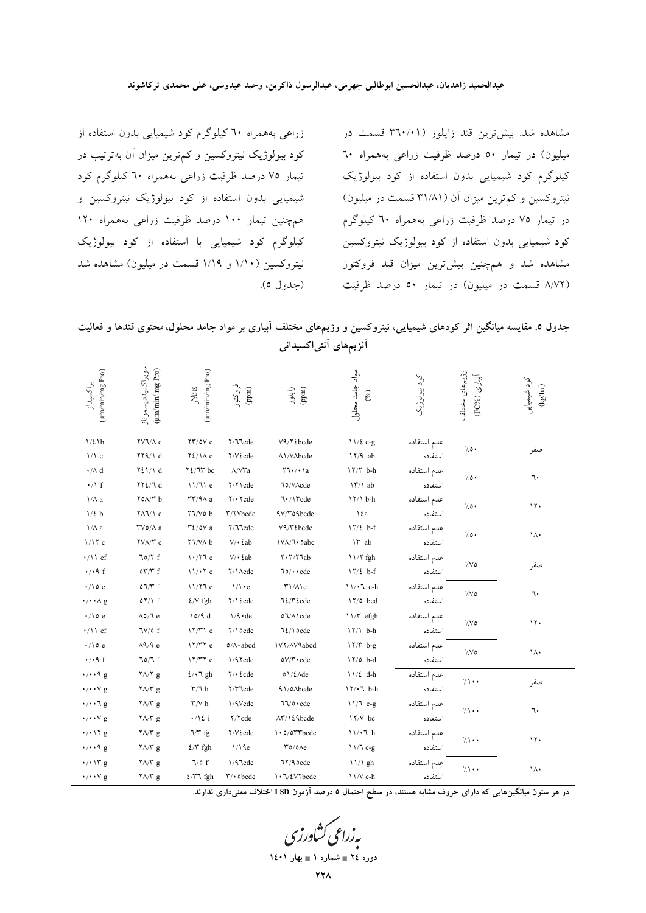زراعی بههمراه ٦٠ کیلوگرم کود شیمیایی بدون استفاده از کود بیولوژیک نیتروکسین و کم ترین میزان آن بهترتیب در تیمار ۷۵ درصد ظرفیت زراعی بههمراه ٦٠ کیلوگرم کود شیمیایی بدون استفاده از کود بیولوژیک نیتروکسین و همچنین تیمار ۱۰۰ درصد ظرفیت زراعی بههمراه ۱۲۰ کیلوگرم کود شیمیایی با استفاده از کود بیولوژیک نیتروکسین (۱/۱۰ و ۱/۱۹ قسمت در میلیون) مشاهده شد (جدول ٥).

مشاهده شد. بیشترین قند زایلوز (۳٦٠/٠١ قسمت در میلیون) در تیمار ٥٠ درصد ظرفیت زراعی بههمراه ٦٠ کیلوگرم کود شیمیایی بدون استفاده از کود بیولوژیک نیتروکسین و کم ترین میزان آن (۳۱/۸۱ قسمت در میلیون) در تیمار ۷۵ درصد ظرفیت زراعی بههمراه ۲۰ کیلوگرم کود شیمیایی بدون استفاده از کود بیولوژیک نیتروکسین مشاهده شد و همچنین بیشترین میزان قند فروکتوز (۸/۷۲ قسمت در میلیون) در تیمار ۵۰ درصد ظرفیت

جدول ٥. مقایسه میانگین اثر کودهای شیمیایی، نیتروکسین و رژیمهای مختلف آبیاری بر مواد جامد محلول، محتوی قندها و فعالیت آنزیمهای آنتیاکسیدانی

| (um/min/mg Pro)<br>پراکسیداز                | سوپراكسيلدديسموتاز<br>$(\mu \mathrm{m/min}/\, \mathrm{mg}$ Pro) | (um/min/mg Pro)<br>555                             | فروکتوز<br>(mpp                   | زایلوز<br>(mqq                                                    | مواد جامد محلول<br>(%) | کود بيولوژيک | رژیمهای مختلف<br>آبیاری (FC%) | كود شيميايى<br>$(\mathit{kg/ha})$ |
|---------------------------------------------|-----------------------------------------------------------------|----------------------------------------------------|-----------------------------------|-------------------------------------------------------------------|------------------------|--------------|-------------------------------|-----------------------------------|
| $1/\xi$ 1b                                  | $\gamma \lor \gamma / \Lambda$ c                                | $\gamma \gamma / \rho V$ c                         | Y/JJcde                           | $\mathsf{V}\mathsf{Q}/\mathsf{Y}\mathsf{\acute{e}b}$ cde          | $11/2$ c-g             | عدم استفاده  | $7.0 \cdot$                   |                                   |
| $1/\lambda$ c                               | $\uparrow \uparrow \uparrow \uparrow / \uparrow d$              | $Y\S/1A$ c                                         | ٢/٧٤cde                           | A\/VAbcde                                                         | $17/9$ ab              | استفاده      |                               | صفر                               |
| $\boldsymbol{\cdot} /\boldsymbol{\wedge}$ d | 721/1 d                                                         | $Y \ell / \mathcal{N}$ bc                          | $\Lambda/V\Upsilon a$             | $\Upsilon\Upsilon\cdot/\Upsilon$                                  | $17/7$ b-h             | عدم استفاده  | 70.                           | ٦٠                                |
| $\cdot / \land f$                           | $\Upsilon\Upsilon\chi/\Upsilon$                                 | 11/71e                                             | ۲/۲ \ cde                         | ٦٥/VAcde                                                          | $\Upsilon/\Upsilon$ ab | استفاده      |                               |                                   |
| $\lambda/\lambda$ a                         | $\Upsilon$ 0 $\Lambda/\Upsilon$ b                               | $\mathsf{r}\mathsf{r}'/\mathsf{q}\wedge\mathsf{a}$ | $Y/\cdot$ $\tau$ cde              | $7.1$ rcde                                                        | $17/1 b-h$             | عدم استفاده  | 70.                           | ۱۲۰                               |
| $1/\xi$ b                                   | $\frac{1}{\Lambda}$                                             | $Y \ V$ o b                                        | $\Upsilon/\Upsilon$ Vbcde         | ٩V/٣٥٩bcde                                                        | ١٤a                    | استفاده      |                               |                                   |
| $\lambda/\lambda$ a                         | $\Upsilon\vee\circ/\wedge$ a                                    | $\mathcal{L}/\mathfrak{d}$ a                       | Y/Vlcde                           | V٩/٣٤bcde                                                         | $17/2$ b-f             | عدم استفاده  | 10.                           | ۱۸۰                               |
| 1/17c                                       | YVA/Y c                                                         | <b>YV/VA</b> b                                     | $V/\cdot \text{2ab}$              | IVA/L.oabc                                                        | Ir ab                  | استفاده      |                               |                                   |
| $\cdot$ /11 ef                              | 70/7f                                                           | 1.77e                                              | $V/\cdot \text{2ab}$              | $Y \cdot Y / Y$ lab                                               | <b>II/Y</b> fgh        | عدم استفاده  | $\gamma_{\mathcal{N}}$        | صفر                               |
| $\cdot$ / $\cdot$ 9 f                       | $o\mathfrak{r}/\mathfrak{r}$ f                                  | 11/47e                                             | Y/1Acde                           | $\texttt{10}/\texttt{\texttt{cdot}}$                              | $17/2$ b-f             | استفاده      |                               |                                   |
| $\cdot$ /\0 e                               | $\circ \gamma/\tau$ f                                           | 11/77e                                             | $1/\lambda$ · e                   | $\Upsilon/\Lambda$ le                                             | $11/\cdot 7$ c-h       | عدم استفاده  | $\gamma_{\mathcal{N}}$        | ٦.                                |
| $\cdot/\cdot\cdot\wedge g$                  | 07/1 f                                                          | $\frac{\mathcal{L}}{\mathcal{N}}$ fgh              | $\mathbf{Y}/\mathbf{V}$<br>Lcde   | 72/ T Ecde                                                        | 17/0 bcd               | استفاده      |                               |                                   |
| $\cdot$ /\oe                                | $\Lambda$ o/ $\Lambda$ e                                        | 10/9 d                                             | $1/9 \cdot de$                    | $\texttt{o} \mathbb{1} / \Lambda \backslash \mathrm{cde}$         | ۱۱/۳ efgh              | عدم استفاده  | $\gamma_{\mathcal{N}}$        | ۱۲۰                               |
| $\cdot / \wedge$ ef                         | $\frac{1}{\sqrt{2}}$                                            | 17/T1e                                             | Y/10cde                           | $72/10$ cde                                                       | $17/1$ b-h             | استفاده      |                               |                                   |
| $\cdot$ /10 e                               | $\Lambda$ 9/9 e                                                 | 17/T7e                                             | $0/\Lambda$ abcd                  | <b>IVY/AV Abcd</b>                                                | $17/T$ b-g             | عدم استفاده  | $\sqrt{2}$                    | ١٨٠                               |
| $\cdot$ / $\cdot$ 9 f                       | $70/T$ f                                                        | $17/T7$ e                                          | 1/9 Tcde                          | $\mathsf{ov}/\mathsf{r}\!\cdot\!\mathsf{c}\!\mathsf{d}\mathsf{e}$ | $17/0$ b-d             | استفاده      |                               |                                   |
| $\cdot/\cdot\cdot$ 9 g                      | $\frac{1}{4}$ $\frac{1}{4}$                                     | $2/\cdot 7$ gh                                     | $\Upsilon/\cdot$ {cde             | $01/\text{\textsterling}$ Ade                                     | $11/\ell$ d-h          | عدم استفاده  | $7 \cdot \cdot$               |                                   |
| $\cdot/\cdot\cdot\vee$ g                    | $\sqrt{\Lambda/\Gamma}$ g                                       | $\mathbf{Y}/\mathbf{I}$ h                          | Y/ Tcde                           | 91/0Abcde                                                         | $17/11$ b-h            | استفاده      |                               | صفر                               |
| $\cdot/\cdots$ g                            | $\sqrt{\Lambda/\Gamma}$ g                                       | $\Upsilon/\Vpsilon$ h                              | 1/9Vcde                           | $77/0 \cdot cde$                                                  | $11/7$ c-g             | عدم استفاده  | $7 \cdot$                     | ٦.                                |
| $\cdot/\cdot\cdot\vee$ g                    | $\Upsilon \wedge / \Upsilon$ g                                  | $\cdot/\ell$ i                                     | $\frac{1}{\sqrt{c}}$              | ۸۳/۱٤٩bcde                                                        | <b>IY/V</b> bc         | استفاده      |                               |                                   |
| $\cdot$ / $\cdot$ \ Y g                     | א $\gamma \wedge \gamma$ g                                      | $\sqrt{r}$ fg                                      | ٢/٧٤cde                           | $\cdot \circ$ /077bcde                                            | $11/\cdot 7$ h         | عدم استفاده  | $7 \cdot \cdot$               | 11.                               |
| $\cdot/\cdot\cdot$ 9 g                      | $\Upsilon \Lambda / \Upsilon$ g                                 | $\mathcal{L}/\mathcal{r}$ fgh                      | 1/19e                             | $\mathsf{r}\circ\mathsf{0}\wedge\mathsf{e}$                       | $11/7$ c-g             | استفاده      |                               |                                   |
| $\cdot$ / $\cdot$ \r g                      | $\mathbf{Y} \mathsf{A} / \mathbf{Y}$ g                          | $\sqrt{\circ f}$                                   | 1/9 lcde                          | 77/9 ocde                                                         | 11/1 gh                | عدم استفاده  | $/ \cdot \cdot$               |                                   |
| $\cdot/\cdot\cdot\vee$ g                    | $\gamma \Lambda/\gamma$ g                                       | $\mathcal{E}/\Upsilon$ l fgh                       | $\mathsf{r}/\cdot \mathsf{obcde}$ | 1. V & V Y bcde                                                   | 11/V c-h               | استفاده      |                               | ١٨٠                               |

در هر ستون میانگینهایی که دارای حروف مشابه هستند، در سطح احتمال ۵ درصد آزمون LSD اختلاف معنیداری ندارند.

**یه زراعی کشاورزی** دوره ٢٤ = شماره ١ = بهار ١٤٠١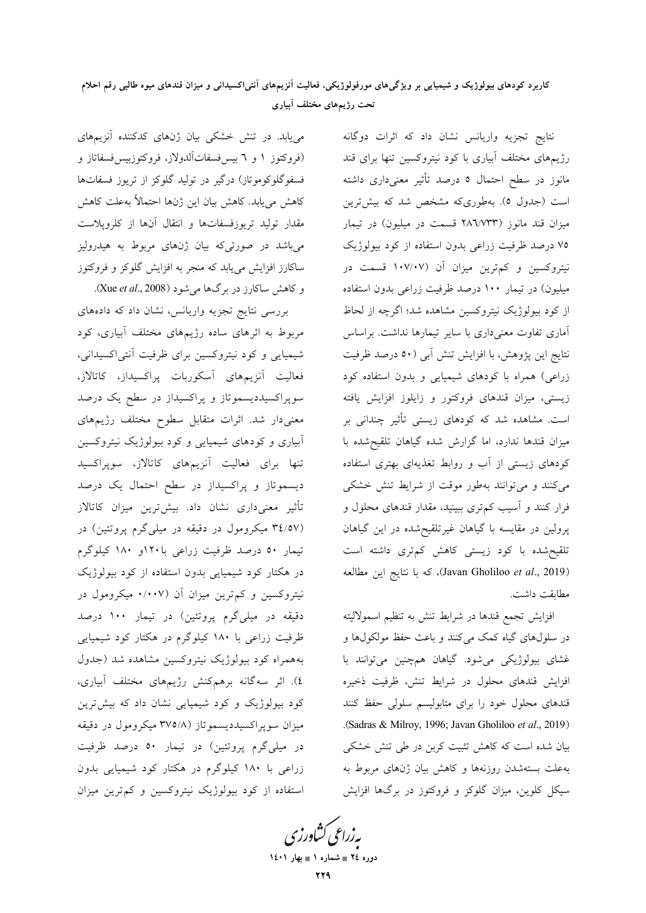## کاربرد کودهای بیولوژیک و شیمیایی بر ویژگیهای مورفولوژیکی، فعالیت آنزیمهای آنتی|کسیدانی و میزان قندهای میوه طالبی رقم احلام تحت رژیمهای مختلف آبیاری

می یابد. در تنش خشکی بیان ژنهای کدکننده آنزیمهای (فروکتوز ۱ و ۲ بیسفسفاتآلدولاز، فروکتوزبیسفسفاتاز و فسفوگلوکوموتاز) درگیر در تولید گلوکز از تریوز فسفاتها كاهش مي يابد. كاهش بيان اين ژنها احتمالاً بهعلت كاهش مقدار تولید تریوزفسفاتها و انتقال آنها از کلروپلاست میباشد در صورتیکه بیان ژنهای مربوط به هیدرولیز ساکارز افزایش مییابد که منجر به افزایش گلوکز و فروکتوز و کاهش ساکارز در برگها می شود (Xue et al., 2008).

بررسی نتایج تجزیه واریانس، نشان داد که دادههای مربوط به اثرهای ساده رژیمهای مختلف آبیاری، کود شیمیایی و کود نیتروکسین برای ظرفیت آنتی|کسیدانی، فعالیت آنزیمهای آسکوربات پراکسیداز، کاتالاز، سوپراکسیددیسموتاز و پراکسیداز در سطح یک درصد معنیدار شد. اثرات متقابل سطوح مختلف رژیمهای ابیاری و کودهای شیمیایی و کود بیولوژیک نیتروکسین تنها برای فعالیت آنزیمهای کاتالاز، سوپراکسید دیسموتاز و پراکسیداز در سطح احتمال یک درصد تأثیر معنی،داری نشان داد. بیشترین میزان کاتالاز (۳٤/٥٧ میکرومول در دقیقه در میلیگرم پروتئین) در تیمار ٥٠ درصد ظرفیت زراعی با ١٢٠و ١٨٠ کیلوگرم در هکتار کود شیمیایی بدون استفاده از کود بیولوژیک نیتروکسین و کم ترین میزان آن (۰/۰۰۷ میکرومول در دقیقه در میلیگرم پروتئین) در تیمار ۱۰۰ درصد ظرفیت زراعی با ۱۸۰ کیلوگرم در هکتار کود شیمیایی بههمراه کود بیولوژیک نیتروکسین مشاهده شد (جدول ٤). اثر سهگانه برهمكنش رژيمهاى مختلف أبيارى، کود بیولوژیک و کود شیمیایی نشان داد که بیشترین میزان سوپراکسیددیسموتاز (۳۷۵/۸ میکرومول در دقیقه در میلیگرم پروتئین) در تیمار ۵۰ درصد ظرفیت زراعی با ۱۸۰ کیلوگرم در هکتار کود شیمیایی بدون استفاده از کود بیولوژیک نیتروکسین و کم ترین میزان

نتايج تجزيه واريانس نشان داد كه اثرات دوگانه رژیمهای مختلف آبیاری با کود نیتروکسین تنها برای قند مانوز در سطح احتمال ٥ درصد تأثیر معنیداری داشته است (جدول ٥). بهطوري6، مشخص شد كه بيشترين میزان قند مانوز (۲۸٦/۷۳۳ قسمت در میلیون) در تیمار ۷۵ درصد ظرفیت زراعی بدون استفاده از کود بیولوژیک نیتروکسین و کم ترین میزان آن (۱۰۷/۰۷ قسمت در میلیون) در تیمار ۱۰۰ درصد ظرفیت زراعی بدون استفاده از کود بیولوژیک نیتروکسین مشاهده شد؛ اگرچه از لحاظ آماری تفاوت معنی<mark>داری با سایر تیمارها نداشت. براساس</mark> نتايج اين پژوهش، با افزايش تنش آبي (٥٠ درصد ظرفيت زراعی) همراه با کودهای شیمیایی و بدون استفاده کود زیستی، میزان قندهای فروکتور و زایلوز افزایش یافته است. مشاهده شد که کودهای زیستی تأثیر چندانی بر میزان قندها ندارد، اما گزارش شده گیاهان تلقیحشده با کودهای زیستی از آب و روابط تغذیهای بهتری استفاده میکنند و میتوانند بهطور موقت از شرایط تنش خشکی فرار کنند و آسیب کم تری ببینید، مقدار قندهای محلول و پرولین در مقایسه با گیاهان غیرتلقیحشده در این گیاهان تلقیح شده با کود زیستی کاهش کمتری داشته است (Javan Gholiloo et al., 2019)، كه با نتايج اين مطالعه مطابقت داشت.

افزایش تجمع قندها در شرایط تنش به تنظیم اسمولالیته در سلولهای گیاه کمک میکنند و باعث حفظ مولکولها و غشای بیولوژیکی میشود. گیاهان همچنین میتوانند با افزایش قندهای محلول در شرایط تنش، ظرفیت ذخیره قندهای محلول خود را برای متابولیسم سلولی حفظ کنند .(Sadras & Milroy, 1996; Javan Gholiloo et al., 2019) بیان شده است که کاهش تثبیت کربن در طی تنش خشکی بهعلت بستهشدن روزنهها وكاهش بيان ژنهاى مربوط به سیکل کلوین، میزان گلوکز و فروکتوز در برگها افزایش

بەزراعى ڭشاورز<sup>.</sup> دوره ٢٤ = شماره ١ = بهار ١٤٠١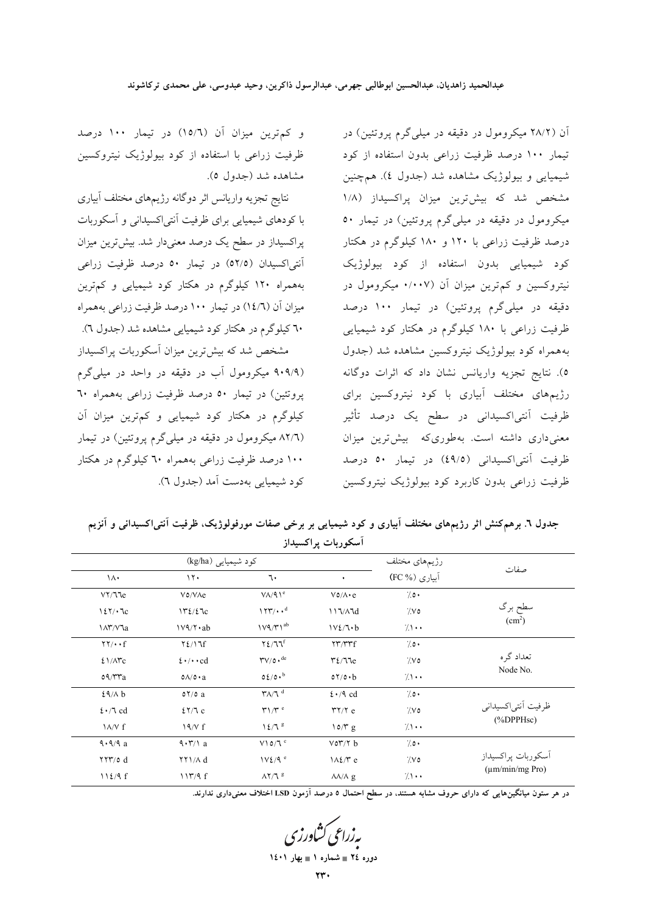و کم ترین میزان آن (١٥/٦) در تیمار ١٠٠ درصد ظرفیت زراعی با استفاده از کود بیولوژیک نیتروکسین مشاهده شد (جدول ٥).

نتايج تجزيه واريانس اثر دوگانه رژيمهاي مختلف أبياري با کودهای شیمپایی برای ظرفیت آنتی|کسیدانی و آسکوربات پراکسیداز در سطح یک درصد معنیدار شد. بیشترین میزان آنتی|کسیدان (٥٢/٥) در تیمار ٥٠ درصد ظرفیت زراعی بههمراه ۱۲۰ کیلوگرم در هکتار کود شیمیایی و کمترین میزان آن (١٤/٦) در تیمار ١٠٠ درصد ظرفیت زراعی بههمراه ٦٠ کیلوگرم در هکتار کود شیمیایی مشاهده شد (جدول ٦).

مشخص شد که بیشترین میزان اسکوربات پراکسیداز (۹۰۹/۹ میکرومول آب در دقیقه در واحد در میلی گرم پروتئین) در تیمار ۵۰ درصد ظرفیت زراعی بههمراه ٦٠ کیلوگرم در هکتار کود شیمیایی و کمترین میزان آن (۸۲/٦ میکرومول در دقیقه در میلیگرم پروتئین) در تیمار ۱۰۰ درصد ظرفیت زراعی بههمراه ۲۰ کیلوگرم در هکتار کود شیمیایی بهدست آمد (جدول ٦). آن (۲۸/۲ میکرومول در دقیقه در میلیگرم پروتئین) در تیمار ۱۰۰ درصد ظرفیت زراعی بدون استفاده از کود شیمیایی و بیولوژیک مشاهده شد (جدول ٤). همچنین مشخص شد که بیشترین میزان پراکسیداز (۱/۸ میکرومول در دقیقه در میلی گرم پروتئین) در تیمار ۵۰ درصد ظرفیت زراعی با ۱۲۰ و ۱۸۰ کیلوگرم در هکتار کود شیمیایی بدون استفاده از کود بیولوژیک نیتروکسین و کم ترین میزان آن (۰/۰۰۷ میکرومول در دقیقه در میلیگرم پروتئین) در تیمار ۱۰۰ درصد .<br>ظرفیت زراعی با ۱۸۰ کیلوگرم در هکتار کود شیمیایی بههمراه کود بیولوژیک نیتروکسین مشاهده شد (جدول ٥). نتايج تجزيه واريانس نشان داد كه اثرات دوگانه رژیمهای مختلف آبیاری با کود نیتروکسین برای ظرفیت آنتی|کسیدانی در سطح یک درصد تأثیر معنی داری داشته است. بهطوری که بیش ترین میزان ظرفيت آنتي|كسيداني (٤٩/٥) در تيمار ٥٠ درصد ظرفيت زراعي بدون كاربرد كود بيولوژيك نيتروكسين

|                                      |                                              |                                               | آسكوربات پراكسيداز                        |                 |                      |
|--------------------------------------|----------------------------------------------|-----------------------------------------------|-------------------------------------------|-----------------|----------------------|
|                                      | کود شیمیایی (kg/ha)                          |                                               |                                           | رژیمهای مختلف   | صفات                 |
| $\lambda$                            | $\gamma$ .                                   | ٦.                                            | $\bullet$                                 | آبیاری (FC %)   |                      |
| $V\Upsilon/T$ le                     | V0/VAe                                       | $V/\sqrt{9}$                                  | $V$ ٥/ $\wedge$ · e                       | 70.             |                      |
| 127/12                               | 172/27c                                      | 177/4                                         | 117/A7d                                   | 0 ⁄∖′           | سطح برگ              |
| <b>IAY/VJa</b>                       | $1Vq/\tau \cdot ab$                          | $1V9/Y1^{ab}$                                 | $V2/T \cdot b$                            | $7 \cdot \cdot$ | (cm <sup>2</sup> )   |
| $\uparrow\uparrow/\bullet\uparrow f$ | $Y\ell/Y$                                    | $Y \xi / T T^f$                               | $\Upsilon \Upsilon / \Upsilon \Upsilon f$ | 70.             |                      |
| $21/\Lambda$ rc                      | $\mathfrak{t} \cdot / \cdot \cdot \text{cd}$ | $\Upsilon V/\mathfrak{o} \bullet^{\text{de}}$ | $\mathsf{r}\mathfrak{t}/\mathsf{v}$       | 0 ⁄∖′           | تعداد گر ه           |
| $o \frac{q}{r}$                      | $0\Lambda/\delta \cdot a$                    | $0\xi/0 \cdot b$                              | 07/0 b                                    | $7 \cdot \cdot$ | Node No.             |
| 29/A b                               | $\mathfrak{d}\,\mathsf{Y}/\mathfrak{d}$ a    | $\mathbf{Y}\Lambda/\mathbf{I}$ d              | $2 \cdot 9$ cd                            | 70.             |                      |
| $2 \cdot 7$ cd                       | 27/7c                                        | $\upmu$ / $\upmu$ <sup>e</sup>                | $\uparrow\uparrow/\uparrow$ e             | 0 ⁄∖′           | ظرفيت أنتى اكسيداني  |
| $\lambda/\nu f$                      | $19/V$ f                                     | $12/7$ $s$                                    | $\sqrt{\alpha} g$                         | $7 \cdot \cdot$ | $(\%DPPHsc)$         |
| 9.9/9.2                              | 9.7/1 a                                      | $V \setminus 0/T$ <sup>c</sup>                | $V$ $OY/Y$ b                              | 70.             |                      |
| $\tau\tau\tau$ /0 d                  | $\gamma \gamma / \Lambda d$                  | $1V\ell/9$ <sup>e</sup>                       | $1\lambda\ell/\mathbf{r}$ e               | 0 ⁄∖′           | أسكوربات پراكسيداز   |
| 112/9f                               | 117/9f                                       | $AY/7$ <sup>g</sup>                           | $\lambda\lambda/\lambda$ g                | $7 \cdot \cdot$ | $(\mu m/min/mg$ Pro) |

جدول ٦. برهم کنش اثر رژیمهای مختلف آبیاری و کود شیمیایی بر برخی صفات مورفولوژیک، ظرفیت آنتی اکسیدانی و آنزیم

در هر ستون میانگینهایی که دارای حروف مشابه هستند. در سطح احتمال ۵ درصد آزمون LSD اختلاف معنیداری ندارند.

**یه زراعی کشاورزی** دوره ٢٤ = شماره ١ = بهار ١٤٠١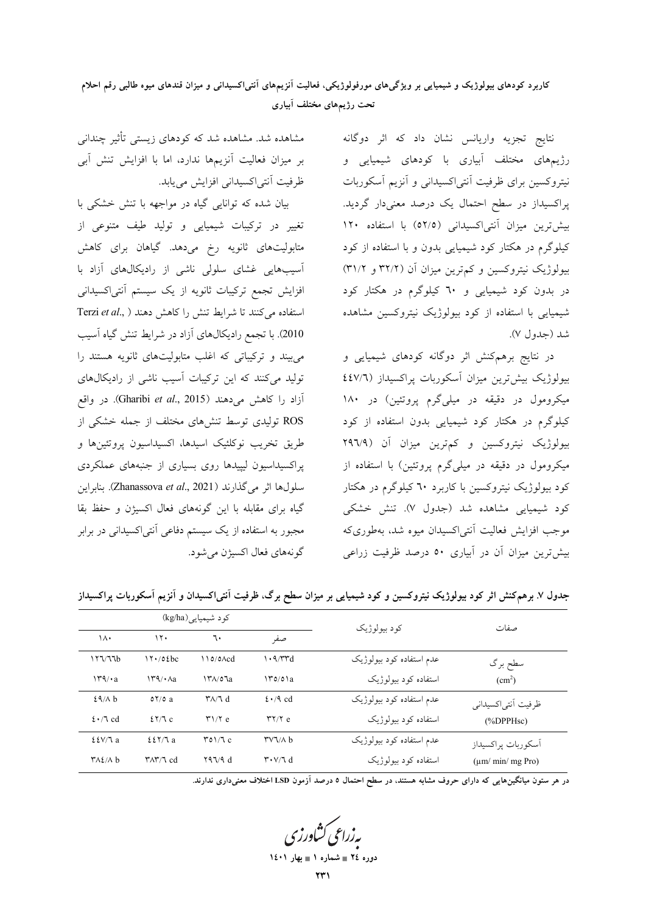نتایج تجزیه واریانس نشان داد که اثر دوگانه رژیمهای مختلف آبیاری با کودهای شیمیایی و نیتروکسین برای ظرفیت آنتی|کسیدانی و آنزیم آسکوربات پراکسیداز در سطح احتمال یک درصد معنیدار گردید. بيش ترين ميزان آنتي اكسيداني (٥٢/٥) با استفاده ١٢٠ کیلوگرم در هکتار کود شیمیایی بدون و با استفاده از کود بیولوژیک نیتروکسین و کم ترین میزان آن (۳۲/۲ و ۳۱/۲) در بدون کود شیمیایی و ٦٠ کیلوگرم در هکتار کود شیمیایی با استفاده از کود بیولوژیک نیتروکسین مشاهده شد (جدول ۷).

در نتایج برهمکنش اثر دوگانه کودهای شیمیایی و بیولوژیک بیش ترین میزان آسکوربات پراکسیداز (٤٤٧/٦ میکرومول در دقیقه در میلیگرم پروتئین) در ۱۸۰ کیلوگرم در هکتار کود شیمیایی بدون استفاده از کود بیولوژیک نیتروکسین و کم ترین میزان آن (۲۹٦/۹ میکرومول در دقیقه در میلیگرم پروتئین) با استفاده از کود بیولوژیک نیتروکسین با کاربرد ٦٠ کیلوگرم در هکتار کود شیمیایی مشاهده شد (جدول ۷). تنش خشکی موجب افزایش فعالیت أنتی|کسیدان میوه شد، بهطوری که بیش ترین میزان آن در آبیاری ٥٠ درصد ظرفیت زراعی

|  | مشاهده شد. مشاهده شد که کودهای زیستی تأثیر چندانی    |  |                                   |  |  |
|--|------------------------------------------------------|--|-----------------------------------|--|--|
|  | بر میزان فعالیت آنزیمها ندارد، اما با افزایش تنش آبی |  |                                   |  |  |
|  |                                                      |  | ظرفیت آنتی کسیدانی افزایش مییابد. |  |  |

بیان شده که توانایی گیاه در مواجهه با تنش خشکی با تغییر در ترکیبات شیمیایی و تولید طیف متنوعی از متابولیتهای ثانویه رخ میدهد. گیاهان برای کاهش آسیبهایی غشای سلولی ناشی از رادیکالهای آزاد با افزایش تجمع ترکیبات ثانویه از یک سیستم آنتیاکسیدانی استفاده میکنند تا شرایط تنش را کاهش دهند ( .Terzi et al 2010). با تجمع رادیکالهای آزاد در شرایط تنش گیاه آسیب می بیند و ترکیباتی که اغلب متابولیتهای ثانویه هستند را تولید میکنند که این ترکیبات آسیب ناشی از رادیکالهای آزاد را كاهش مى دهند (Gharibi et al., 2015). در واقع ROS تولیدی توسط تنشهای مختلف از جمله خشکی از طريق تخريب نوكلئيك اسيدها، اكسيداسيون پروتئينها و پراکسیداسیون لیپیدها روی بسیاری از جنبههای عملکردی سلولها اثر میگذارند (Zhanassova et al., 2021). بنابراین گیاه برای مقابله با این گونههای فعال اکسیژن و حفظ بقا مجبور به استفاده از یک سیستم دفاعی آنتی|کسیدانی در برابر گونههای فعال اکسیژن مے شود.

|                          |                                          | کود شیمیایی(kg/ha)                        |                                                | کو د بيولوژيک            | صفات                     |
|--------------------------|------------------------------------------|-------------------------------------------|------------------------------------------------|--------------------------|--------------------------|
| ١٨٠                      | ۱۲۰                                      | ٦.                                        | صفه                                            |                          |                          |
| 177/77b                  | $17.70$ $\ell$ bc                        | $110/0 \text{Acd}$                        | $\cdot$ ۹/۳۳d                                  | عدم استفاده كود بيولوژيك | سطح برگ                  |
| $\frac{14}{4}$           | $\Upsilon$ ۹/۰ $\Lambda$ a               | $\frac{14}{100}$                          | $\Upsilon$                                     | استفاده کود بیولوژیک     | (cm <sup>2</sup> )       |
| 29/A b                   | 07/0a                                    | $\mathsf{Y} \wedge \mathsf{Y} \mathsf{d}$ | $2 \cdot 9$ cd                                 | عدم استفاده كود بيولوژيك | ظرفيت أنتىاكسيداني       |
| $2 \cdot 7$ cd           | 27/Tc                                    | $\mathsf{r}\mathsf{1}/\mathsf{r}$ e       | $\mathsf{r}\mathsf{y}\mathsf{y}$ e             | استفاده کود بیولوژیک     | $(\%DPPHsc)$             |
| EV/Ta                    | 227/7a                                   | $\Gamma$ <sup>o</sup> $\sqrt{2}$ c        | $\mathsf{r} \vee \mathsf{v} \wedge \mathsf{b}$ | عدم استفاده كود بيولوژيك | أسكوربات يراكسيداز       |
| $Y\Lambda\chi/\Lambda b$ | $\Upsilon \wedge \Upsilon / \Upsilon$ cd | YQVQd                                     | $\mathbf{r} \cdot \mathbf{v}/\mathbf{d}$       | استفاده کود بیولوژیک     | $(\mu m / min / mg Pro)$ |

جدول ۷. برهمکنش اثر کود بیولوژیک نیتروکسین و کود شیمیایی بر میزان سطح برگ، ظرفیت آنتی/کسیدان و آنزیم آسکوربات پراکسیداز

در هر ستون میانگینهایی که دارای حروف مشابه هستند. در سطح احتمال ۵ درصد آزمون LSD اختلاف معنیداری ندارند.

**یه زراعی کشاورز<sup>م</sup>** دوره ٢٤ = شماره ١ = بهار ١٤٠١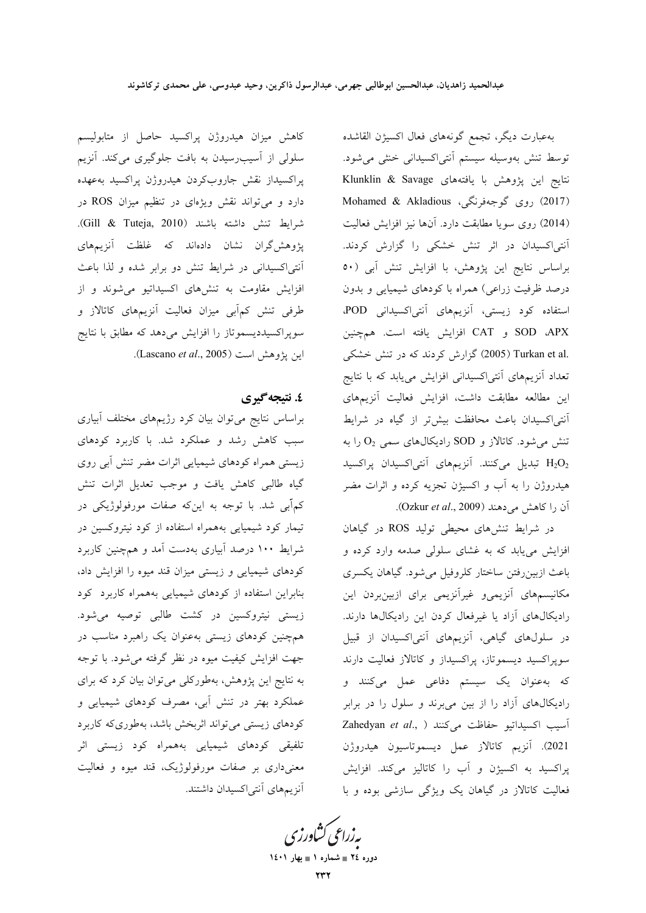کاهش میزان هیدروژن پراکسید حاصل از متابولیسم سلولی از آسیبرسیدن به بافت جلوگیری میکند. آنزیم پراكسيداز نقش جاروبكردن هيدروژن پراكسيد بهعهده دارد و میتواند نقش ویژهای در تنظیم میزان ROS در شرايط تنش داشته باشند (Gill & Tuteja, 2010). پژوهشگران نشان دادهاند که غلظت آنزیمهای أنتي|كسيداني در شرايط تنش دو برابر شده و لذا باعث افزایش مقاومت به تنشرهای اکسیداتیو می شوند و از طرفی تنش کم آبی میزان فعالیت آنزیمهای کاتالاز و سوپراکسیددیسموتاز را افزایش میدهد که مطابق با نتایج اين پژوهش است (Lascano et al., 2005).

### ٤. نتىچە گېرى

براساس نتایج میتوان بیان کرد رژیمهای مختلف آبیاری سبب کاهش رشد و عملکرد شد. با کاربرد کودهای زیستی همراه کودهای شیمیایی اثرات مضر تنش آبی روی گیاه طالبی کاهش یافت و موجب تعدیل اثرات تنش کمأبی شد. با توجه به اینکه صفات مورفولوژیکی در تیمار کود شیمیایی بههمراه استفاده از کود نیتروکسین در شرایط ۱۰۰ درصد آبیاری بهدست آمد و همچنین کاربرد کودهای شیمیایی و زیستی میزان قند میوه را افزایش داد، بنابراین استفاده از کودهای شیمیایی بههمراه کاربرد کود زیستی نیتروکسین در کشت طالبی توصیه می شود. همچنین کودهای زیستی بهعنوان یک راهبرد مناسب در جهت افزایش کیفیت میوه در نظر گرفته می شود. با توجه به نتایج این پژوهش، بهطورکلی می توان بیان کرد که برای عملکرد بهتر در تنش آبی، مصرف کودهای شیمیایی و کودهای زیستی میتواند اثربخش باشد، بهطوریکه کاربرد تلفیقی کودهای شیمیایی بههمراه کود زیستی اثر معنیداری بر صفات مورفولوژیک، قند میوه و فعالیت آنزیمهای آنتی اکسیدان داشتند.

بهعبارت ديگر، تجمع گونههای فعال اکسیژن القاشده توسط تنش بهوسيله سيستم أنتى اكسيدانى خنثى مى شود. نتايج اين پژوهش با يافتههاى Klunklin & Savage (2017) روى گوجەفرنگى، Mohamed & Akladious (2014) روى سويا مطابقت دارد. آنها نيز افزايش فعاليت آنتیاکسیدان در اثر تنش خشکی را گزارش کردند. براساس نتايج اين پژوهش، با افزايش تنش آبي (٥٠ درصد ظرفیت زراعی) همراه با کودهای شیمیایی و بدون استفاده کود زیستی، آنزیمهای آنتی اکسیدانی POD. SOD ،APX و CAT افزايش يافته است. همچنين .2005) Turkan et al (2005) گزارش کردند که در تنش خشکی تعداد آنزیمهای آنتی|کسیدانی افزایش مییابد که با نتایج این مطالعه مطابقت داشت، افزایش فعالیت آنزیمهای آنتی|کسیدان باعث محافظت بیش تر از گیاه در شرایط تنش میشود. کاتالاز و SOD رادیکال های سمی  $O_2$  را به H2O2 تبدیل میکنند. آنزیمهای آنتی اکسیدان پراکسید هیدروژن را به آب و اکسیژن تجزیه کرده و اثرات مضر آن را كاهش مى دهند (Ozkur et al., 2009).

در شرایط تنشهای محیطی تولید ROS در گیاهان افزایش می،یابد که به غشای سلولی صدمه وارد کرده و باعث ازبین رفتن ساختار کلروفیل می شود. گیاهان یکسری مکانیسمهای آنزیمی و غیرآنزیمی برای ازبینبردن این رادیکالهای آزاد یا غیرفعال کردن این رادیکالها دارند. در سلولهای گیاهی، آنزیمهای آنتیاکسیدان از قبیل سوپراکسید دیسموتاز، پراکسیداز و کاتالاز فعالیت دارند که بهعنوان یک سیستم دفاعی عمل میکنند و رادیکالهای آزاد را از بین میبرند و سلول را در برابر Zahedyan et al., ) اسيب اكسيداتيو حفاظت مى كنند 2021). آنزیم کاتالاز عمل دیسموتاسیون هیدروژن پراکسید به اکسیژن و آب را کاتالیز میکند. افزایش فعالیت کاتالاز در گیاهان یک ویژگی سازشی بوده و با

یه زراعی کشاورزی دوره ٢٤ = شماره ١ = بهار ١٤٠١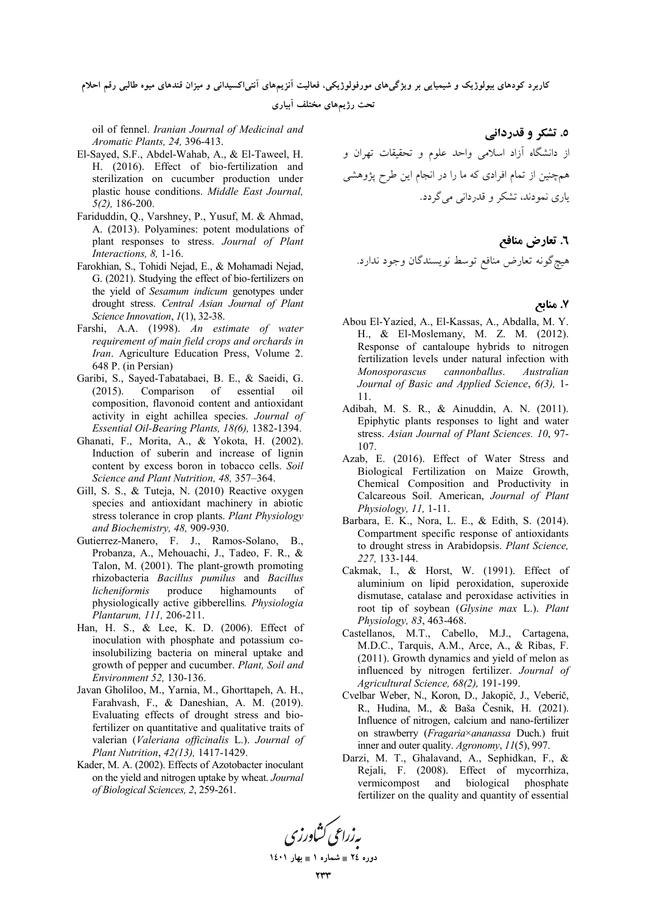کاربرد کودهای بیولوژیک و شیمیایی بر ویژگیهای مورفولوژیکی، فعالیت انزیمهای انتیlکسیدانی و میزان قندهای میوه طالبی رقم احلام

تحت رژیمهای مختلف آبیاری

oil of fennel. *Iranian Journal of Medicinal and Aromatic Plants, 24,* 396-413.

- El-Sayed, S.F., Abdel-Wahab, A., & El-Taweel, H. H. (2016). Effect of bio-fertilization and sterilization on cucumber production under plastic house conditions. *Middle East Journal, 5(2),* 186-200.
- Fariduddin, Q., Varshney, P., Yusuf, M. & Ahmad, A. (2013). Polyamines: potent modulations of plant responses to stress. *Journal of Plant Interactions, 8,* 1-16.
- Farokhian, S., Tohidi Nejad, E., & Mohamadi Nejad, G. (2021). Studying the effect of bio-fertilizers on the yield of *Sesamum indicum* genotypes under drought stress. *Central Asian Journal of Plant Science Innovation*, *1*(1), 32-38.
- Farshi, A.A. (1998). *An estimate of water requirement of main field crops and orchards in Iran*. Agriculture Education Press, Volume 2. 648 P. (in Persian)
- Garibi, S., Sayed-Tabatabaei, B. E., & Saeidi, G.<br>(2015). Comparison of essential oil Comparison of essential oil composition, flavonoid content and antioxidant activity in eight achillea species. *Journal of Essential Oil-Bearing Plants, 18(6),* 1382-1394.
- Ghanati, F., Morita, A., & Yokota, H. (2002). Induction of suberin and increase of lignin content by excess boron in tobacco cells. *Soil Science and Plant Nutrition, 48,* 357–364.
- Gill, S. S., & Tuteja, N. (2010) Reactive oxygen species and antioxidant machinery in abiotic stress tolerance in crop plants. *Plant Physiology and Biochemistry, 48,* 909-930.
- Gutierrez-Manero, F. J., Ramos-Solano, B., Probanza, A., Mehouachi, J., Tadeo, F. R., & Talon, M. (2001). The plant-growth promoting rhizobacteria *Bacillus pumilus* and *Bacillus licheniformis* produce highamounts of physiologically active gibberellins*. Physiologia Plantarum, 111,* 206-211.
- Han, H. S., & Lee, K. D. (2006). Effect of inoculation with phosphate and potassium coinsolubilizing bacteria on mineral uptake and growth of pepper and cucumber. *Plant, Soil and Environment 52,* 130-136.
- Javan Gholiloo, M., Yarnia, M., Ghorttapeh, A. H., Farahvash, F., & Daneshian, A. M. (2019). Evaluating effects of drought stress and biofertilizer on quantitative and qualitative traits of valerian (*Valeriana officinalis* L.). *Journal of Plant Nutrition*, *42(13),* 1417-1429.
- Kader, M. A. (2002). Effects of Azotobacter inoculant on the yield and nitrogen uptake by wheat. *Journal of Biological Sciences, 2*, 259-261.

**0. تشکر و قدردانی** از دانشگاه آزاد اسلامی واحد علوم و تحقیقات تهران و همچنین از تمام افرادی که ما را در انجام این طرح پژوهشی یاری نمودند، تشکر و قدردانی میگردد.

### ٦. تعارض مناف*ع*

هيچگونه تعارض منافع توسط نويسندگان وجود ندارد.

### **D.
2 7.**

- Abou El-Yazied, A., El-Kassas, A., Abdalla, M. Y. H., & El-Moslemany, M. Z. M. (2012). Response of cantaloupe hybrids to nitrogen fertilization levels under natural infection with *Monosporascus cannonballus*. *Australian Journal of Basic and Applied Science*, *6(3),* 1- 11.
- Adibah, M. S. R., & Ainuddin, A. N. (2011). Epiphytic plants responses to light and water stress. *Asian Journal of Plant Sciences. 10*, 97- 107.
- Azab, E. (2016). Effect of Water Stress and Biological Fertilization on Maize Growth, Chemical Composition and Productivity in Calcareous Soil. American, *Journal of Plant Physiology, 11,* 1-11.
- Barbara, E. K., Nora, L. E., & Edith, S. (2014). Compartment specific response of antioxidants to drought stress in Arabidopsis. *Plant Science, 227,* 133-144.
- Cakmak, I., & Horst, W. (1991). Effect of aluminium on lipid peroxidation, superoxide dismutase, catalase and peroxidase activities in root tip of soybean (*Glysine max* L.). *Plant Physiology, 83*, 463-468.
- Castellanos, M.T., Cabello, M.J., Cartagena, M.D.C., Tarquis, A.M., Arce, A., & Ribas, F. (2011). Growth dynamics and yield of melon as influenced by nitrogen fertilizer. *Journal of Agricultural Science, 68(2),* 191-199.
- Cvelbar Weber, N., Koron, D., Jakopič, J., Veberič, R., Hudina, M., & Baša Česnik, H. (2021). Influence of nitrogen, calcium and nano-fertilizer on strawberry (*Fragaria*×*ananassa* Duch.) fruit inner and outer quality. *Agronomy*, *11*(5), 997.
- Darzi, M. T., Ghalavand, A., Sephidkan, F., & Rejali, F. (2008). Effect of mycorrhiza, vermicompost and biological phosphate fertilizer on the quality and quantity of essential

به زراعی کشاورزی

**1401  1 - 24 -**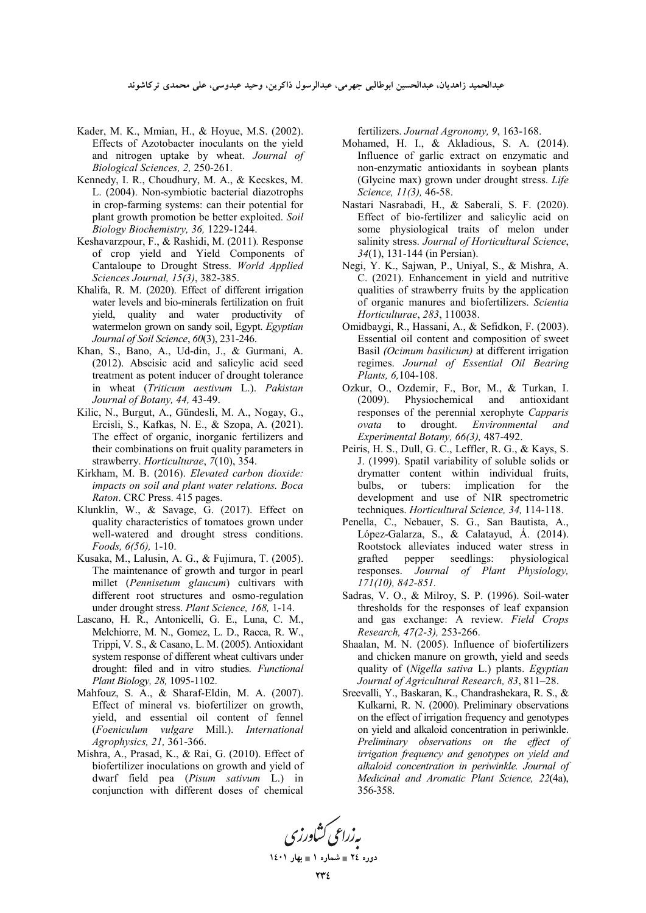عبدالحميد زاهديان، عبدالحسين ابوطالبي جهرمي، عبدالرسول ذاكرين، وحيد عبدوسي، على محمدى تركاشوند

- Kader, M. K., Mmian, H., & Hoyue, M.S. (2002). Effects of Azotobacter inoculants on the yield and nitrogen uptake by wheat. *Journal of Biological Sciences, 2,* 250-261.
- Kennedy, I. R., Choudhury, M. A., & Kecskes, M. L. (2004). Non-symbiotic bacterial diazotrophs in crop-farming systems: can their potential for plant growth promotion be better exploited. *Soil Biology Biochemistry, 36,* 1229-1244.
- Keshavarzpour, F., & Rashidi, M. (2011)*.* Response of crop yield and Yield Components of Cantaloupe to Drought Stress. *World Applied Sciences Journal, 15(3)*, 382-385.
- Khalifa, R. M. (2020). Effect of different irrigation water levels and bio-minerals fertilization on fruit yield, quality and water productivity of watermelon grown on sandy soil, Egypt. *Egyptian Journal of Soil Science*, *60*(3), 231-246.
- Khan, S., Bano, A., Ud-din, J., & Gurmani, A. (2012). Abscisic acid and salicylic acid seed treatment as potent inducer of drought tolerance in wheat (*Triticum aestivum* L.). *Pakistan Journal of Botany, 44,* 43-49.
- Kilic, N., Burgut, A., Gündesli, M. A., Nogay, G., Ercisli, S., Kafkas, N. E., & Szopa, A. (2021). The effect of organic, inorganic fertilizers and their combinations on fruit quality parameters in strawberry. *Horticulturae*, *7*(10), 354.
- Kirkham, M. B. (2016). *Elevated carbon dioxide: impacts on soil and plant water relations. Boca Raton*. CRC Press. 415 pages.
- Klunklin, W., & Savage, G. (2017). Effect on quality characteristics of tomatoes grown under well-watered and drought stress conditions. *Foods, 6(56),* 1-10.
- Kusaka, M., Lalusin, A. G., & Fujimura, T. (2005). The maintenance of growth and turgor in pearl millet (*Pennisetum glaucum*) cultivars with different root structures and osmo-regulation under drought stress. *Plant Science, 168,* 1-14.
- Lascano, H. R., Antonicelli, G. E., Luna, C. M., Melchiorre, M. N., Gomez, L. D., Racca, R. W., Trippi, V. S., & Casano, L. M. (2005). Antioxidant system response of different wheat cultivars under drought: filed and in vitro studies. *Functional Plant Biology, 28,* 1095-1102.
- Mahfouz, S. A., & Sharaf-Eldin, M. A. (2007). Effect of mineral vs. biofertilizer on growth, yield, and essential oil content of fennel (*Foeniculum vulgare* Mill.). *International Agrophysics, 21,* 361-366.
- Mishra, A., Prasad, K., & Rai, G. (2010). Effect of biofertilizer inoculations on growth and yield of dwarf field pea (*Pisum sativum* L.) in conjunction with different doses of chemical

fertilizers. *Journal Agronomy, 9*, 163-168.

- Mohamed, H. I., & Akladious, S. A. (2014). Influence of garlic extract on enzymatic and non-enzymatic antioxidants in soybean plants (Glycine max) grown under drought stress. *Life Science, 11(3),* 46-58.
- Nastari Nasrabadi, H., & Saberali, S. F. (2020). Effect of bio-fertilizer and salicylic acid on some physiological traits of melon under salinity stress. *Journal of Horticultural Science*, *34*(1), 131-144 (in Persian).
- Negi, Y. K., Sajwan, P., Uniyal, S., & Mishra, A. C. (2021). Enhancement in yield and nutritive qualities of strawberry fruits by the application of organic manures and biofertilizers. *Scientia Horticulturae*, *283*, 110038.
- Omidbaygi, R., Hassani, A., & Sefidkon, F. (2003). Essential oil content and composition of sweet Basil *(Ocimum basilicum)* at different irrigation regimes. *Journal of Essential Oil Bearing Plants, 6,*104-108.
- Ozkur, O., Ozdemir, F., Bor, M., & Turkan, I. (2009). Physiochemical and antioxidant responses of the perennial xerophyte *Capparis ovata* to drought. *Environmental and Experimental Botany, 66(3),* 487-492.
- Peiris, H. S., Dull, G. C., Leffler, R. G., & Kays, S. J. (1999). Spatil variability of soluble solids or drymatter content within individual fruits, bulbs, or tubers: implication for the development and use of NIR spectrometric techniques. *Horticultural Science, 34,* 114-118.
- Penella, C., Nebauer, S. G., San Bautista, A., López-Galarza, S., & Calatayud, Á. (2014). Rootstock alleviates induced water stress in grafted pepper seedlings: physiological responses. *Journal of Plant Physiology, 171(10), 842-851.*
- Sadras, V. O., & Milroy, S. P. (1996). Soil-water thresholds for the responses of leaf expansion and gas exchange: A review. *Field Crops Research, 47(2-3),* 253-266.
- Shaalan, M. N. (2005). Influence of biofertilizers and chicken manure on growth, yield and seeds quality of (*Nigella sativa* L.) plants. *Egyptian Journal of Agricultural Research, 83*, 811–28.
- Sreevalli, Y., Baskaran, K., Chandrashekara, R. S., & Kulkarni, R. N. (2000). Preliminary observations on the effect of irrigation frequency and genotypes on yield and alkaloid concentration in periwinkle. *Preliminary observations on the effect of irrigation frequency and genotypes on yield and alkaloid concentration in periwinkle. Journal of Medicinal and Aromatic Plant Science, 22*(4a), 356-358.

به زراعی کشاورزی **1401 
 1 - 24 -**